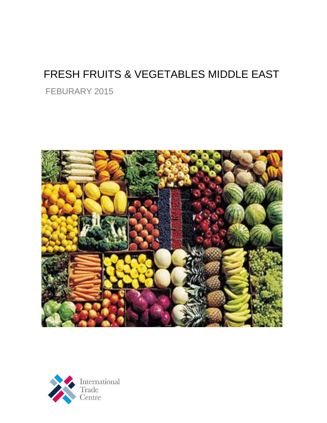## FRESH FRUITS & VEGETABLES MIDDLE EAST

FEBURARY 2015



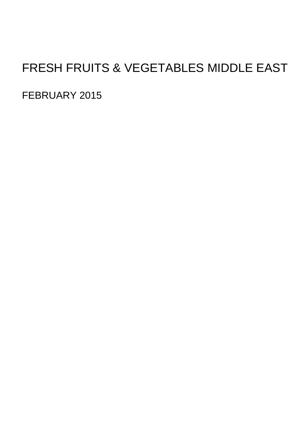# FRESH FRUITS & VEGETABLES MIDDLE EAST

FEBRUARY 2015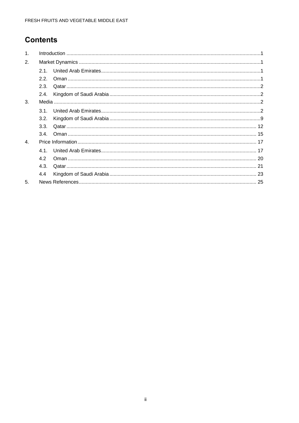### **Contents**

| 1 <sub>1</sub> |      |  |
|----------------|------|--|
| 2.             |      |  |
|                | 21   |  |
|                | 2.2. |  |
|                | 2.3. |  |
|                | 2.4. |  |
| 3.             |      |  |
|                | 3.1. |  |
|                | 3.2. |  |
|                | 3.3. |  |
|                | 3.4. |  |
| 4.             |      |  |
|                | 41   |  |
|                | 4.2  |  |
|                | 4.3. |  |
|                | 4.4  |  |
| 5              |      |  |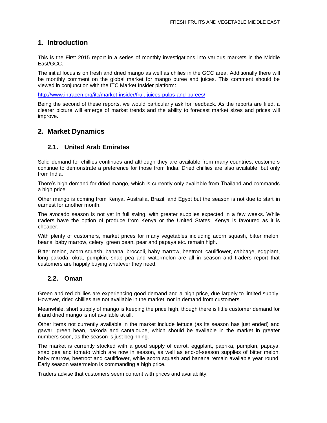### **1. Introduction**

This is the First 2015 report in a series of monthly investigations into various markets in the Middle East/GCC.

<span id="page-3-0"></span>The initial focus is on fresh and dried mango as well as chilies in the GCC area. Additionally there will be monthly comment on the global market for mango puree and juices. This comment should be viewed in conjunction with the ITC Market Insider platform:

<http://www.intracen.org/itc/market-insider/fruit-juices-pulps-and-purees/>

Being the second of these reports, we would particularly ask for feedback. As the reports are filed, a clearer picture will emerge of market trends and the ability to forecast market sizes and prices will improve.

### **2. Market Dynamics**

### **2.1. United Arab Emirates**

<span id="page-3-1"></span>Solid demand for chillies continues and although they are available from many countries, customers continue to demonstrate a preference for those from India. Dried chillies are also available, but only from India.

<span id="page-3-2"></span>There's high demand for dried mango, which is currently only available from Thailand and commands a high price.

Other mango is coming from Kenya, Australia, Brazil, and Egypt but the season is not due to start in earnest for another month.

The avocado season is not yet in full swing, with greater supplies expected in a few weeks. While traders have the option of produce from Kenya or the United States, Kenya is favoured as it is cheaper.

With plenty of customers, market prices for many vegetables including acorn squash, bitter melon, beans, baby marrow, celery, green bean, pear and papaya etc. remain high.

Bitter melon, acorn squash, banana, broccoli, baby marrow, beetroot, cauliflower, cabbage, eggplant, long pakoda, okra, pumpkin, snap pea and watermelon are all in season and traders report that customers are happily buying whatever they need.

### **2.2. Oman**

<span id="page-3-3"></span>Green and red chillies are experiencing good demand and a high price, due largely to limited supply. However, dried chillies are not available in the market, nor in demand from customers.

Meanwhile, short supply of mango is keeping the price high, though there is little customer demand for it and dried mango is not available at all.

Other items not currently available in the market include lettuce (as its season has just ended) and gawar, green bean, pakoda and cantaloupe, which should be available in the market in greater numbers soon, as the season is just beginning.

The market is currently stocked with a good supply of carrot, eggplant, paprika, pumpkin, papaya, snap pea and tomato which are now in season, as well as end-of-season supplies of bitter melon, baby marrow, beetroot and cauliflower, while acorn squash and banana remain available year round. Early season watermelon is commanding a high price.

Traders advise that customers seem content with prices and availability.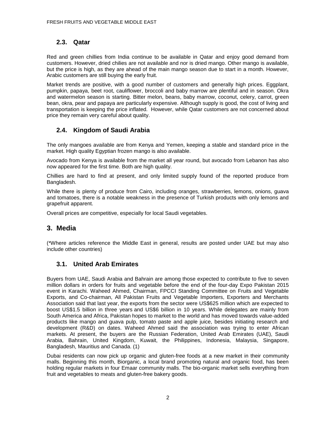### **2.3. Qatar**

<span id="page-4-0"></span>Red and green chillies from India continue to be available in Qatar and enjoy good demand from customers. However, dried chilies are not available and nor is dried mango. Other mango is available, but the price is high, as they are ahead of the main mango season due to start in a month. However, Arabic customers are still buying the early fruit.

Market trends are positive, with a good number of customers and generally high prices. Eggplant, pumpkin, papaya, beet root, cauliflower, broccoli and baby marrow are plentiful and in season. Okra and watermelon season is starting. Bitter melon, beans, baby marrow, coconut, celery, carrot, green bean, okra, pear and papaya are particularly expensive. Although supply is good, the cost of living and transportation is keeping the price inflated. However, while Qatar customers are not concerned about price they remain very careful about quality.

### **2.4. Kingdom of Saudi Arabia**

<span id="page-4-1"></span>The only mangoes available are from Kenya and Yemen, keeping a stable and standard price in the market. High quality Egyptian frozen mango is also available.

Avocado from Kenya is available from the market all year round, but avocado from Lebanon has also now appeared for the first time. Both are high quality.

Chillies are hard to find at present, and only limited supply found of the reported produce from Bangladesh.

While there is plenty of produce from Cairo, including oranges, strawberries, lemons, onions, guava and tomatoes, there is a notable weakness in the presence of Turkish products with only lemons and grapefruit apparent.

Overall prices are competitive, especially for local Saudi vegetables.

### **3. Media**

<span id="page-4-2"></span>(\*Where articles reference the Middle East in general, results are posted under UAE but may also include other countries)

### **3.1. United Arab Emirates**

<span id="page-4-3"></span>Buyers from UAE, Saudi Arabia and Bahrain are among those expected to contribute to five to seven million dollars in orders for fruits and vegetable before the end of the four-day Expo Pakistan 2015 event in Karachi. Waheed Ahmed, Chairman, FPCCI Standing Committee on Fruits and Vegetable Exports, and Co-chairman, All Pakistan Fruits and Vegetable Importers, Exporters and Merchants Association said that last year, the exports from the sector were US\$625 million which are expected to boost US\$1.5 billion in three years and US\$6 billion in 10 years. While delegates are mainly from South America and Africa, Pakistan hopes to market to the world and has moved towards value-added products like mango and guava pulp, tomato paste and apple juice, besides initiating research and development (R&D) on dates. Waheed Ahmed said the association was trying to enter African markets. At present, the buyers are the Russian Federation, United Arab Emirates (UAE), Saudi Arabia, Bahrain, United Kingdom, Kuwait, the Philippines, Indonesia, Malaysia, Singapore, Bangladesh, Mauritius and Canada. (1)

Dubai residents can now pick up organic and gluten-free foods at a new market in their community malls. Beginning this month, Biorganic, a local brand promoting natural and organic food, has been holding regular markets in four Emaar community malls. The bio-organic market sells everything from fruit and vegetables to meats and gluten-free bakery goods.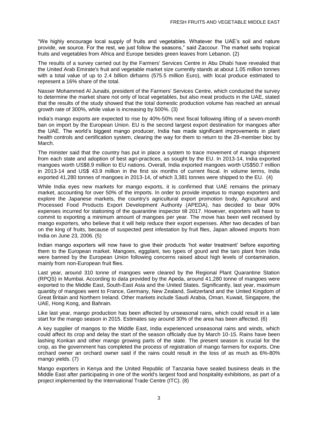"We highly encourage local supply of fruits and vegetables. Whatever the UAE's soil and nature provide, we source. For the rest, we just follow the seasons," said Zaccour. The market sells tropical fruits and vegetables from Africa and Europe besides green leaves from Lebanon. (2)

The results of a survey carried out by the Farmers' Services Centre in Abu Dhabi have revealed that the United Arab Emirate's fruit and vegetable market size currently stands at about 1.05 million tonnes with a total value of up to 2.4 billion dirhams (575.5 million Euro), with local produce estimated to represent a 16% share of the total.

Nasser Mohammed Al Junaibi, president of the Farmers' Services Centre, which conducted the survey to determine the market share not only of local vegetables, but also meat products in the UAE, stated that the results of the study showed that the total domestic production volume has reached an annual growth rate of 300%, while value is increasing by 500%. (3)

India's mango exports are expected to rise by 40%-50% next fiscal following lifting of a seven-month ban on import by the European Union. EU is the second largest export destination for mangoes after the UAE. The world's biggest mango producer, India has made significant improvements in plant health controls and certification system, clearing the way for them to return to the 28-member bloc by March.

The minister said that the country has put in place a system to trace movement of mango shipment from each state and adoption of best agri-practices, as sought by the EU. In 2013-14, India exported mangoes worth US\$8.9 million to EU nations. Overall, India exported mangoes worth US\$50.7 million in 2013-14 and US\$ 43.9 million in the first six months of current fiscal. In volume terms, India exported 41,280 tonnes of mangoes in 2013-14, of which 3,381 tonnes were shipped to the EU. (4)

While India eyes new markets for mango exports, it is confirmed that UAE remains the primary market, accounting for over 50% of the imports. In order to provide impetus to mango exporters and explore the Japanese markets, the country's agricultural export promotion body, Agricultural and Processed Food Products Export Development Authority (APEDA), has decided to bear 90% expenses incurred for stationing of the quarantine inspector till 2017. However, exporters will have to commit to exporting a minimum amount of mangoes per year. The move has been well received by mango exporters, who believe that it will help reduce their export expenses. After two decades of ban on the king of fruits, because of suspected pest infestation by fruit flies, Japan allowed imports from India on June 23, 2006. (5)

Indian mango exporters will now have to give their products 'hot water treatment' before exporting them to the European market. Mangoes, eggplant, two types of gourd and the taro plant from India were banned by the European Union following concerns raised about high levels of contamination, mainly from non-European fruit flies.

Last year, around 310 tonne of mangoes were cleared by the Regional Plant Quarantine Station (RPQS) in Mumbai. According to data provided by the Apeda, around 41,280 tonne of mangoes were exported to the Middle East, South-East Asia and the United States. Significantly, last year, maximum quantity of mangoes went to France, Germany, New Zealand, Switzerland and the United Kingdom of Great Britain and Northern Ireland. Other markets include Saudi Arabia, Oman, Kuwait, Singapore, the UAE, Hong Kong, and Bahrain.

Like last year, mango production has been affected by unseasonal rains, which could result in a late start for the mango season in 2015. Estimates say around 30% of the area has been affected. (6)

A key supplier of mangos to the Middle East, India experienced unseasonal rains and winds, which could affect its crop and delay the start of the season officially due by March 10-15. Rains have been lashing Konkan and other mango growing parts of the state. The present season is crucial for the crop, as the government has completed the process of registration of mango farmers for exports. One orchard owner an orchard owner said if the rains could result in the loss of as much as 6%-80% mango yields. (7)

Mango exporters in Kenya and the United Republic of Tanzania have sealed business deals in the Middle East after participating in one of the world's largest food and hospitality exhibitions, as part of a project implemented by the International Trade Centre (ITC). (8)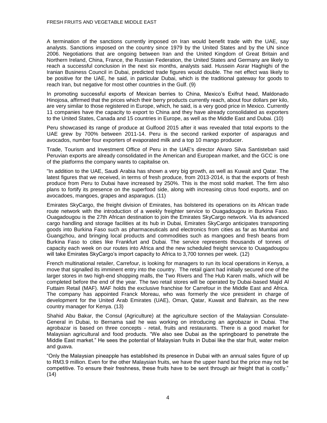A termination of the sanctions currently imposed on Iran would benefit trade with the UAE, say analysts. Sanctions imposed on the country since 1979 by the United States and by the UN since 2006. Negotiations that are ongoing between Iran and the United Kingdom of Great Britain and Northern Ireland, China, France, the Russian Federation, the United States and Germany are likely to reach a successful conclusion in the next six months, analysts said. Hussein Asrar Haghighi of the Iranian Business Council in Dubai, predicted trade figures would double. The net effect was likely to be positive for the UAE, he said, in particular Dubai, which is the traditional gateway for goods to reach Iran, but negative for most other countries in the Gulf. (9)

In promoting successful exports of Mexican berries to China, Mexico's Exifrut head, Maldonado Hinojosa, affirmed that the prices which their berry products currently reach, about four dollars per kilo, are very similar to those registered in Europe, which, he said, is a very good price in Mexico. Currently 11 companies have the capacity to export to China and they have already consolidated as exporters to the United States, Canada and 15 countries in Europe, as well as the Middle East and Dubai. (10)

Peru showcased its range of produce at Gulfood 2015 after it was revealed that total exports to the UAE grew by 700% between 2011-14. Peru is the second ranked exporter of asparagus and avocados, number four exporters of evaporated milk and a top 10 mango producer.

Trade, Tourism and Investment Office of Peru in the UAE's director Alvaro Silva Santisteban said Peruvian exports are already consolidated in the American and European market, and the GCC is one of the platforms the company wants to capitalise on.

"In addition to the UAE, Saudi Arabia has shown a very big growth, as well as Kuwait and Qatar. The latest figures that we received, in terms of fresh produce, from 2013-2014, is that the exports of fresh produce from Peru to Dubai have increased by 250%. This is the most solid market. The firm also plans to fortify its presence on the superfood side, along with increasing citrus food exports, and on avocadoes, mangoes, grapes and asparagus. (11)

Emirates SkyCargo, the freight division of Emirates, has bolstered its operations on its African trade route network with the introduction of a weekly freighter service to Ouagadougou in Burkina Faso. Ouagadougou is the 27th African destination to join the Emirates SkyCargo network. Via its advanced cargo handling and storage facilities at its hub in Dubai, Emirates SkyCargo anticipates transporting goods into Burkina Faso such as pharmaceuticals and electronics from cities as far as Mumbai and Guangzhou, and bringing local products and commodities such as mangoes and fresh beans from Burkina Faso to cities like Frankfurt and Dubai. The service represents thousands of tonnes of capacity each week on our routes into Africa and the new scheduled freight service to Ouagadougou will take Emirates SkyCargo's import capacity to Africa to 3,700 tonnes per week. (12)

French multinational retailer, Carrefour, is looking for managers to run its local operations in Kenya, a move that signalled its imminent entry into the country. The retail giant had initially secured one of the larger stores in two high-end shopping malls, the Two Rivers and The Hub Karen malls, which will be completed before the end of the year. The two retail stores will be operated by Dubai-based Majid Al Futtaim Retail (MAF). MAF holds the exclusive franchise for Carrefour in the Middle East and Africa. The company has appointed Franck Moreau, who was formerly the vice president in charge of development for the United Arab Emirates (UAE), Oman, Qatar, Kuwait and Bahrain, as the new country manager for Kenya. (13)

Shahid Abu Bakar, the Consul (Agriculture) at the agriculture section of the Malaysian Consulate-General in Dubai, to Bernama said he was working on introducing an agrobazar in Dubai. The agrobazar is based on three concepts - retail, fruits and restaurants. There is a good market for Malaysian agricultural and food products. "We also see Dubai as the springboard to penetrate the Middle East market." He sees the potential of Malaysian fruits in Dubai like the star fruit, water melon and guava.

"Only the Malaysian pineapple has established its presence in Dubai with an annual sales figure of up to RM3.9 million. Even for the other Malaysian fruits, we have the upper hand but the price may not be competitive. To ensure their freshness, these fruits have to be sent through air freight that is costly."  $(14)$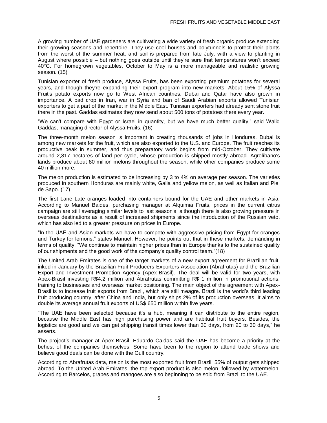A growing number of UAE gardeners are cultivating a wide variety of fresh organic produce extending their growing seasons and repertoire. They use cool houses and polytunnels to protect their plants from the worst of the summer heat; and soil is prepared from late July, with a view to planting in August where possible – but nothing goes outside until they're sure that temperatures won't exceed 40°C. For homegrown vegetables, October to May is a more manageable and realistic growing season. (15)

Tunisian exporter of fresh produce, Alyssa Fruits, has been exporting premium potatoes for several years, and though they're expanding their export program into new markets. About 15% of Alyssa Fruit's potato exports now go to West African countries. Dubai and Qatar have also grown in importance. A bad crop in Iran, war in Syria and ban of Saudi Arabian exports allowed Tunisian exporters to get a part of the market in the Middle East. Tunisian exporters had already sent stone fruit there in the past. Gaddas estimates they now send about 500 tons of potatoes there every year.

"We can't compare with Egypt or Israel in quantity, but we have much better quality," said Walid Gaddas, managing director of Alyssa Fruits. (16)

The three-month melon season is important in creating thousands of jobs in Honduras. Dubai is among new markets for the fruit, which are also exported to the U.S. and Europe. The fruit reaches its productive peak in summer, and thus preparatory work begins from mid-October. They cultivate around 2,817 hectares of land per cycle, whose production is shipped mostly abroad. Agrolíbano's lands produce about 80 million melons throughout the season, while other companies produce some 40 million more.

The melon production is estimated to be increasing by 3 to 4% on average per season. The varieties produced in southern Honduras are mainly white, Galia and yellow melon, as well as Italian and Piel de Sapo. (17)

The first Lane Late oranges loaded into containers bound for the UAE and other markets in Asia. According to Manuel Baides, purchasing manager at Alquimia Fruits, prices in the current citrus campaign are still averaging similar levels to last season's, although there is also growing pressure in overseas destinations as a result of increased shipments since the introduction of the Russian veto, which has also led to a greater pressure on prices in Europe.

"In the UAE and Asian markets we have to compete with aggressive pricing from Egypt for oranges and Turkey for lemons," states Manuel. However, he points out that in these markets, demanding in terms of quality, "We continue to maintain higher prices than in Europe thanks to the sustained quality of our shipments and the good work of the company's quality control team."(18)

The United Arab Emirates is one of the target markets of a new export agreement for Brazilian fruit, inked in January by the Brazilian Fruit Producers-Exporters Association (Abrafrutas) and the Brazilian Export and Investment Promotion Agency (Apex-Brasil). The deal will be valid for two years, with Apex-Brasil investing R\$4.2 million and Abrafrutas committing R\$ 1 million in promotional actions, training to businesses and overseas market positioning. The main object of the agreement with Apex-Brasil is to increase fruit exports from Brazil, which are still meagre. Brazil is the world's third leading fruit producing country, after China and India, but only ships 2% of its production overseas. It aims to double its average annual fruit exports of US\$ 650 million within five years.

"The UAE have been selected because it's a hub, meaning it can distribute to the entire region, because the Middle East has high purchasing power and are habitual fruit buyers. Besides, the logistics are good and we can get shipping transit times lower than 30 days, from 20 to 30 days," he asserts.

The project's manager at Apex-Brasil, Eduardo Caldas said the UAE has become a priority at the behest of the companies themselves. Some have been to the region to attend trade shows and believe good deals can be done with the Gulf country.

According to Abrafrutas data, melon is the most exported fruit from Brazil: 55% of output gets shipped abroad. To the United Arab Emirates, the top export product is also melon, followed by watermelon. According to Barcelos, grapes and mangoes are also beginning to be sold from Brazil to the UAE.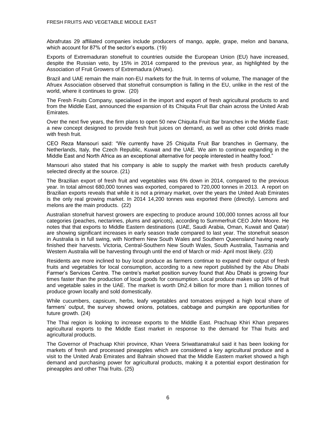Abrafrutas 29 affiliated companies include producers of mango, apple, grape, melon and banana, which account for 87% of the sector's exports. (19)

Exports of Extremaduran stonefruit to countries outside the European Union (EU) have increased, despite the Russian veto, by 15% in 2014 compared to the previous year, as highlighted by the Association of Fruit Growers of Extremadura (Afruex).

Brazil and UAE remain the main non-EU markets for the fruit. In terms of volume, The manager of the Afruex Association observed that stonefruit consumption is falling in the EU, unlike in the rest of the world, where it continues to grow. (20)

The Fresh Fruits Company, specialised in the import and export of fresh agricultural products to and from the Middle East, announced the expansion of its Chiquita Fruit Bar chain across the United Arab Emirates.

Over the next five years, the firm plans to open 50 new Chiquita Fruit Bar branches in the Middle East; a new concept designed to provide fresh fruit juices on demand, as well as other cold drinks made with fresh fruit.

CEO Reza Mansouri said: "We currently have 25 Chiquita Fruit Bar branches in Germany, the Netherlands, Italy, the Czech Republic, Kuwait and the UAE. We aim to continue expanding in the Middle East and North Africa as an exceptional alternative for people interested in healthy food."

Mansouri also stated that his company is able to supply the market with fresh products carefully selected directly at the source. (21)

The Brazilian export of fresh fruit and vegetables was 6% down in 2014, compared to the previous year. In total almost 680,000 tonnes was exported, compared to 720,000 tonnes in 2013. A report on Brazilian exports reveals that while it is not a primary market, over the years the United Arab Emirates is the only real growing market. In 2014 14,200 tonnes was exported there (directly). Lemons and melons are the main products. (22)

Australian stonefruit harvest growers are expecting to produce around 100,000 tonnes across all four categories (peaches, nectarines, plums and apricots), according to Summerfruit CEO John Moore. He notes that that exports to Middle Eastern destinations (UAE, Saudi Arabia, Oman, Kuwait and Qatar) are showing significant increases in early season trade compared to last year. The stonefruit season in Australia is in full swing, with Northern New South Wales and Southern Queensland having nearly finished their harvests. Victoria, Central-Southern New South Wales, South Australia, Tasmania and Western Australia will be harvesting through until the end of March or mid- April most likely. (23)

Residents are more inclined to buy local produce as farmers continue to expand their output of fresh fruits and vegetables for local consumption, according to a new report published by the Abu Dhabi Farmer's Services Centre. The centre's market position survey found that Abu Dhabi is growing four times faster than the production of local goods for consumption. Local produce makes up 16% of fruit and vegetable sales in the UAE. The market is worth Dh2.4 billion for more than 1 million tonnes of produce grown locally and sold domestically.

While cucumbers, capsicum, herbs, leafy vegetables and tomatoes enjoyed a high local share of farmers' output, the survey showed onions, potatoes, cabbage and pumpkin are opportunities for future growth. (24)

The Thai region is looking to increase exports to the Middle East. Prachuap Khiri Khan prepares agricultural exports to the Middle East market in response to the demand for Thai fruits and agricultural products.

The Governor of Prachuap Khiri province, Khan Veera Sriwattanatrakul said it has been looking for markets of fresh and processed pineapples which are considered a key agricultural produce and a visit to the United Arab Emirates and Bahrain showed that the Middle Eastern market showed a high demand and purchasing power for agricultural products, making it a potential export destination for pineapples and other Thai fruits. (25)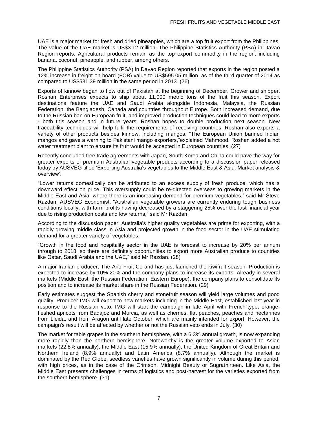UAE is a major market for fresh and dried pineapples, which are a top fruit export from the Philippines. The value of the UAE market is US\$3.12 million, The Philippine Statistics Authority (PSA) in Davao Region reports. Agricultural products remain as the top export commodity in the region, including banana, coconut, pineapple, and rubber, among others.

The Philippine Statistics Authority (PSA) in Davao Region reported that exports in the region posted a 12% increase in freight on board (FOB) value to US\$595.05 million, as of the third quarter of 2014 as compared to US\$531.39 million in the same period in 2013. (26)

Exports of kinnow began to flow out of Pakistan at the beginning of December. Grower and shipper, Roshan Enterprises expects to ship about 11,000 metric tons of the fruit this season. Export destinations feature the UAE and Saudi Arabia alongside Indonesia, Malaysia, the Russian Federation, the Bangladesh, Canada and countries throughout Europe. Both increased demand, due to the Russian ban on European fruit, and improved production techniques could lead to more exports - both this season and in future years. Roshan hopes to double production next season. New traceability techniques will help fulfil the requirements of receiving countries. Roshan also exports a variety of other products besides kinnow, including mangos. "The European Union banned Indian mangos and gave a warning to Pakistani mango exporters,"explained Mahmood. Roshan added a hot water treatment plant to ensure its fruit would be accepted in European countries. (27)

Recently concluded free trade agreements with Japan, South Korea and China could pave the way for greater exports of premium Australian vegetable products according to a discussion paper released today by AUSVEG titled 'Exporting Australia's vegetables to the Middle East & Asia: Market analysis & overview'.

"Lower returns domestically can be attributed to an excess supply of fresh produce, which has a downward effect on price. This oversupply could be re-directed overseas to growing markets in the Middle East and Asia, where there is an increasing demand for premium vegetables," said Mr Steve Razdan, AUSVEG Economist. "Australian vegetable growers are currently enduring tough business conditions locally, with farm profits having decreased by a staggering 25% over the last financial year due to rising production costs and low returns," said Mr Razdan.

According to the discussion paper, Australia's higher quality vegetables are prime for exporting, with a rapidly growing middle class in Asia and projected growth in the food sector in the UAE stimulating demand for a greater variety of vegetables.

"Growth in the food and hospitality sector in the UAE is forecast to increase by 20% per annum through to 2018, so there are definitely opportunities to export more Australian produce to countries like Qatar, Saudi Arabia and the UAE," said Mr Razdan. (28)

A major Iranian producer, The Ario Fruit Co and has just launched the kiwifruit season. Production is expected to increase by 10%-20% and the company plans to increase its exports. Already in several markets (Middle East, the Russian Federation, Eastern Europe), the company plans to consolidate its position and to increase its market share in the Russian Federation. (29)

Early estimates suggest the Spanish cherry and stonefruit season will yield large volumes and good quality. Producer IMG will export to new markets including in the Middle East, established last year in response to the Russian veto. IMG will start the campaign in late April with French-type, orangefleshed apricots from Badajoz and Murcia, as well as cherries, flat peaches, peaches and nectarines from Lleida, and from Aragon until late October, which are mainly intended for export. However, the campaign's result will be affected by whether or not the Russian veto ends in July. (30)

The market for table grapes in the southern hemisphere, with a 6.3% annual growth, is now expanding more rapidly than the northern hemisphere. Noteworthy is the greater volume exported to Asian markets (22.8% annually), the Middle East (15.9% annually), the United Kingdom of Great Britain and Northern Ireland (8.9% annually) and Latin America (8.7% annually). Although the market is dominated by the Red Globe, seedless varieties have grown significantly in volume during this period, with high prices, as in the case of the Crimson, Midnight Beauty or Sugrathirteen. Like Asia, the Middle East presents challenges in terms of logistics and post-harvest for the varieties exported from the southern hemisphere. (31)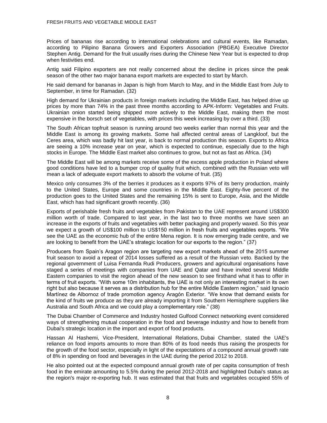Prices of bananas rise according to international celebrations and cultural events, like Ramadan, according to Pilipino Banana Growers and Exporters Association (PBGEA) Executive Director Stephen Antig. Demand for the fruit usually rises during the Chinese New Year but is expected to drop when festivities end.

Antig said Filipino exporters are not really concerned about the decline in prices since the peak season of the other two major banana export markets are expected to start by March.

He said demand for bananas in Japan is high from March to May, and in the Middle East from July to September, in time for Ramadan. (32)

High demand for Ukrainian products in foreign markets including the Middle East, has helped drive up prices by more than 74% in the past three months according to APK-Inform: Vegetables and Fruits. Ukrainian onion started being shipped more actively to the Middle East, making them the most expensive in the borsch set of vegetables, with prices this week increasing by over a third. (33)

The South African topfruit season is running around two weeks earlier than normal this year and the Middle East is among its growing markets. Some hail affected central areas of Langkloof, but the Ceres area, which was badly hit last year, is back to normal production this season. Exports to Africa are seeing a 10% increase year on year, which is expected to continue, especially due to the high stocks in Europe. The Middle East market also continues to grow, but not as fast as Africa. (34)

The Middle East will be among markets receive some of the excess apple production in Poland where good conditions have led to a bumper crop of quality fruit which, combined with the Russian veto will mean a lack of adequate export markets to absorb the volume of fruit. (35)

Mexico only consumes 3% of the berries it produces as it exports 97% of its berry production, mainly to the United States, Europe and some countries in the Middle East. Eighty-five percent of the production goes to the United States and the remaining 15% is sent to Europe, Asia, and the Middle East, which has had significant growth recently. (36)

Exports of perishable fresh fruits and vegetables from Pakistan to the UAE represent around US\$300 million worth of trade. Compared to last year, in the last two to three months we have seen an increase in the exports of fruits and vegetables with better packaging and properly waxed. So this year we expect a growth of US\$100 million to US\$150 million in fresh fruits and vegetables exports. "We see the UAE as the economic hub of the entire Mena region. It is now emerging trade centre, and we are looking to benefit from the UAE's strategic location for our exports to the region." (37)

Producers from Spain's Aragon region are targeting new export markets ahead of the 2015 summer fruit season to avoid a repeat of 2014 losses suffered as a result of the Russian veto. Backed by the regional government of Luisa Fernanda Rudi Producers, growers and agricultural organisations have staged a series of meetings with companies from UAE and Qatar and have invited several Middle Eastern companies to visit the region ahead of the new season to see firsthand what it has to offer in terms of fruit exports. "With some 10m inhabitants, the UAE is not only an interesting market in its own right but also because it serves as a distribution hub for the entire Middle Eastern region," said Ignacio Martínez de Albornoz of trade promotion agency Aragón Exterior. "We know that demand exists for the kind of fruits we produce as they are already importing it from Southern Hemisphere suppliers like Australia and South Africa and we could play a complementary role." (38)

The Dubai Chamber of Commerce and Industry hosted Gulfood Connect networking event considered ways of strengthening mutual cooperation in the food and beverage industry and how to benefit from Dubai's strategic location in the import and export of food products.

Hassan Al Hashemi, Vice-President, International Relations, Dubai Chamber, stated the UAE's reliance on food imports amounts to more than 80% of its food needs thus raising the prospects for the growth of the food sector, especially in light of the expectations of a compound annual growth rate of 8% in spending on food and beverages in the UAE during the period 2012 to 2018.

He also pointed out at the expected compound annual growth rate of per capita consumption of fresh food in the emirate amounting to 5.5% during the period 2012-2018 and highlighted Dubai's status as the region's major re-exporting hub. It was estimated that that fruits and vegetables occupied 55% of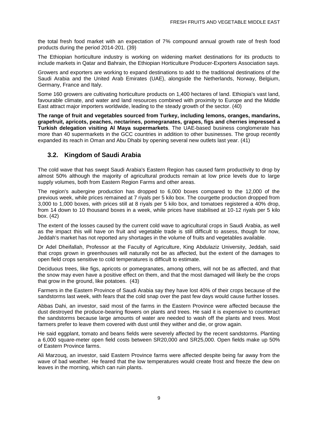the total fresh food market with an expectation of 7% compound annual growth rate of fresh food products during the period 2014-201. (39)

The Ethiopian horticulture industry is working on widening market destinations for its products to include markets in Qatar and Bahrain, the Ethiopian Horticulture Producer-Exporters Association says.

Growers and exporters are working to expand destinations to add to the traditional destinations of the Saudi Arabia and the United Arab Emirates (UAE), alongside the Netherlands, Norway, Belgium, Germany, France and Italy.

Some 160 growers are cultivating horticulture products on 1,400 hectares of land. Ethiopia's vast land, favourable climate, and water and land resources combined with proximity to Europe and the Middle East attract major importers worldwide, leading to the steady growth of the sector. (40)

**The range of fruit and vegetables sourced from Turkey, including lemons, oranges, mandarins, grapefruit, apricots, peaches, nectarines, pomegranates, grapes, figs and cherries impressed a Turkish delegation visiting Al Maya supermarkets**. The UAE-based business conglomerate has more than 40 supermarkets in the GCC countries in addition to other businesses. The group recently expanded its reach in Oman and Abu Dhabi by opening several new outlets last year. (41)

### **3.2. Kingdom of Saudi Arabia**

<span id="page-11-0"></span>The cold wave that has swept Saudi Arabia's Eastern Region has caused farm productivity to drop by almost 50% although the majority of agricultural products remain at low price levels due to large supply volumes, both from Eastern Region Farms and other areas.

The region's aubergine production has dropped to 6,000 boxes compared to the 12,000 of the previous week, while prices remained at 7 riyals per 5 kilo box. The courgette production dropped from 3,000 to 1,000 boxes, with prices still at 8 riyals per 5 kilo box, and tomatoes registered a 40% drop, from 14 down to 10 thousand boxes in a week, while prices have stabilised at 10-12 riyals per 5 kilo box. (42)

The extent of the losses caused by the current cold wave to agricultural crops in Saudi Arabia, as well as the impact this will have on fruit and vegetable trade is still difficult to assess, though for now, Jeddah's market has not reported any shortages in the volume of fruits and vegetables available.

Dr Adel Dheifallah, Professor at the Faculty of Agriculture, King Abdulaziz University, Jeddah, said that crops grown in greenhouses will naturally not be as affected, but the extent of the damages to open field crops sensitive to cold temperatures is difficult to estimate.

Deciduous trees, like figs, apricots or pomegranates, among others, will not be as affected, and that the snow may even have a positive effect on them, and that the most damaged will likely be the crops that grow in the ground, like potatoes. (43)

Farmers in the Eastern Province of Saudi Arabia say they have lost 40% of their crops because of the sandstorms last week, with fears that the cold snap over the past few days would cause further losses.

Abbas Dahi, an investor, said most of the farms in the Eastern Province were affected because the dust destroyed the produce-bearing flowers on plants and trees. He said it is expensive to counteract the sandstorms because large amounts of water are needed to wash off the plants and trees. Most farmers prefer to leave them covered with dust until they wither and die, or grow again.

He said eggplant, tomato and beans fields were severely affected by the recent sandstorms. Planting a 6,000 square-meter open field costs between SR20,000 and SR25,000. Open fields make up 50% of Eastern Province farms.

Ali Marzouq, an investor, said Eastern Province farms were affected despite being far away from the wave of bad weather. He feared that the low temperatures would create frost and freeze the dew on leaves in the morning, which can ruin plants.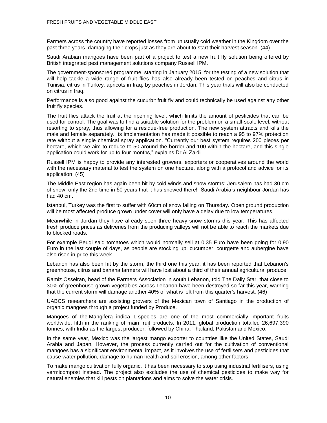Farmers across the country have reported losses from unusually cold weather in the Kingdom over the past three years, damaging their crops just as they are about to start their harvest season. (44)

Saudi Arabian mangoes have been part of a project to test a new fruit fly solution being offered by British integrated pest management solutions company Russell IPM.

The government-sponsored programme, starting in January 2015, for the testing of a new solution that will help tackle a wide range of fruit flies has also already been tested on peaches and citrus in Tunisia, citrus in Turkey, apricots in Iraq, by peaches in Jordan. This year trials will also be conducted on citrus in Iraq.

Performance is also good against the cucurbit fruit fly and could technically be used against any other fruit fly species.

The fruit flies attack the fruit at the ripening level, which limits the amount of pesticides that can be used for control. The goal was to find a suitable solution for the problem on a small-scale level, without resorting to spray, thus allowing for a residue-free production. The new system attracts and kills the male and female separately. Its implementation has made it possible to reach a 95 to 97% protection rate without a single chemical spray application. "Currently our best system requires 200 pieces per hectare, which we aim to reduce to 50 around the border and 100 within the hectare, and this single application could work for up to four months," explains Dr Al Zaidi.

Russell IPM is happy to provide any interested growers, exporters or cooperatives around the world with the necessary material to test the system on one hectare, along with a protocol and advice for its application. (45)

The Middle East region has again been hit by cold winds and snow storms; Jerusalem has had 30 cm of snow, only the 2nd time in 50 years that it has snowed there! Saudi Arabia's neighbour Jordan has had 40 cm.

Istanbul, Turkey was the first to suffer with 60cm of snow falling on Thursday. Open ground production will be most affected produce grown under cover will only have a delay due to low temperatures.

Meanwhile in Jordan they have already seen three heavy snow storms this year. This has affected fresh produce prices as deliveries from the producing valleys will not be able to reach the markets due to blocked roads.

For example Beuqi said tomatoes which would normally sell at 0.35 Euro have been going for 0.90 Euro in the last couple of days, as people are stocking up, cucumber, courgette and aubergine have also risen in price this week.

Lebanon has also been hit by the storm, the third one this year, it has been reported that Lebanon's greenhouse, citrus and banana farmers will have lost about a third of their annual agricultural produce.

Ramiz Osseiran, head of the Farmers Association in south Lebanon, told The Daily Star, that close to 30% of greenhouse-grown vegetables across Lebanon have been destroyed so far this year, warning that the current storm will damage another 40% of what is left from this quarter's harvest. (46)

UABCS researchers are assisting growers of the Mexican town of Santiago in the production of organic mangoes through a project funded by Produce.

Mangoes of the Mangifera indica L species are one of the most commercially important fruits worldwide; fifth in the ranking of main fruit products. In 2011, global production totalled 26,697,390 tonnes, with India as the largest producer, followed by China, Thailand, Pakistan and Mexico.

In the same year, Mexico was the largest mango exporter to countries like the United States, Saudi Arabia and Japan. However, the process currently carried out for the cultivation of conventional mangoes has a significant environmental impact, as it involves the use of fertilisers and pesticides that cause water pollution, damage to human health and soil erosion, among other factors.

To make mango cultivation fully organic, it has been necessary to stop using industrial fertilisers, using vermicompost instead. The project also excludes the use of chemical pesticides to make way for natural enemies that kill pests on plantations and aims to solve the water crisis.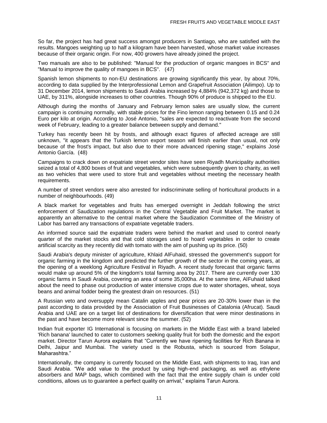So far, the project has had great success amongst producers in Santiago, who are satisfied with the results. Mangoes weighting up to half a kilogram have been harvested, whose market value increases because of their organic origin. For now, 400 growers have already joined the project.

Two manuals are also to be published: "Manual for the production of organic mangoes in BCS" and "Manual to improve the quality of mangoes in BCS". (47)

Spanish lemon shipments to non-EU destinations are growing significantly this year, by about 70%, according to data supplied by the Interprofessional Lemon and Grapefruit Association (Ailimpo). Up to 31 December 2014, lemon shipments to Saudi Arabia increased by 4,884% (942,372 kg) and those to UAE, by 311%, alongside increases to other countries. Though 90% of produce is shipped to the EU.

Although during the months of January and February lemon sales are usually slow, the current campaign is continuing normally, with stable prices for the Fino lemon ranging between 0.15 and 0.24 Euro per kilo at origin. According to José Antonio, "sales are expected to reactivate from the second week of February, leading to a greater balance between supply and demand."

Turkey has recently been hit by frosts, and although exact figures of affected acreage are still unknown, "it appears that the Turkish lemon export season will finish earlier than usual, not only because of the frost's impact, but also due to their more advanced ripening stage," explains José Antonio García. (48)

Campaigns to crack down on expatriate street vendor sites have seen Riyadh Municipality authorities seized a total of 4,800 boxes of fruit and vegetables, which were subsequently given to charity, as well as two vehicles that were used to store fruit and vegetables without meeting the necessary health requirements.

A number of street vendors were also arrested for indiscriminate selling of horticultural products in a number of neighbourhoods. (49)

A black market for vegetables and fruits has emerged overnight in Jeddah following the strict enforcement of Saudization regulations in the Central Vegetable and Fruit Market. The market is apparently an alternative to the central market where the Saudization Committee of the Ministry of Labor has barred any transactions of expatriate vegetable traders.

An informed source said the expatriate traders were behind the market and used to control nearly quarter of the market stocks and that cold storages used to hoard vegetables in order to create artificial scarcity as they recently did with tomato with the aim of pushing up its price. (50)

Saudi Arabia's deputy minister of agriculture, Khlaid AlFuhaid, stressed the government's support for organic farming in the kingdom and predicted the further growth of the sector in the coming years, at the opening of a weeklong Agriculture Festival in Riyadh. A recent study forecast that organic farms would make up around 5% of the kingdom's total farming area by 2017. There are currently over 130 organic farms in Saudi Arabia, covering an area of some 35,000ha. At the same time, AlFuhaid talked about the need to phase out production of water intensive crops due to water shortages, wheat, soya beans and animal fodder being the greatest drain on resources. (51)

A Russian veto and oversupply mean Catalin apples and pear prices are 20-30% lower than in the past according to data provided by the Association of Fruit Businesses of Catalonia (Afrucat). Saudi Arabia and UAE are on a target list of destinations for diversification that were minor destinations in the past and have become more relevant since the summer. (52)

Indian fruit exporter IG International is focusing on markets in the Middle East with a brand labeled 'Rich banana' launched to cater to customers seeking quality fruit for both the domestic and the export market. Director Tarun Aurora explains that "Currently we have ripening facilities for Rich Banana in Delhi, Jaipur and Mumbai. The variety used is the Robusta, which is sourced from Solapur, Maharashtra."

Internationally, the company is currently focused on the Middle East, with shipments to Iraq, Iran and Saudi Arabia. "We add value to the product by using high-end packaging, as well as ethylene absorbers and MAP bags, which combined with the fact that the entire supply chain is under cold conditions, allows us to guarantee a perfect quality on arrival," explains Tarun Aurora.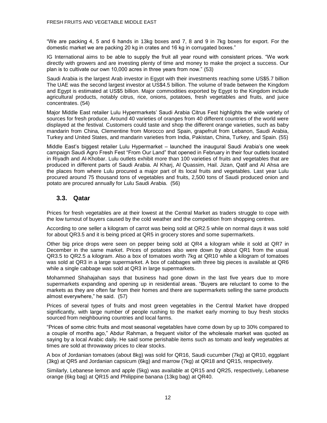"We are packing 4, 5 and 6 hands in 13kg boxes and 7, 8 and 9 in 7kg boxes for export. For the domestic market we are packing 20 kg in crates and 16 kg in corrugated boxes."

IG International aims to be able to supply the fruit all year round with consistent prices. "We work directly with growers and are investing plenty of time and money to make the project a success. Our plan is to cultivate our own 10,000 acres in three years from now." (53)

Saudi Arabia is the largest Arab investor in Egypt with their investments reaching some US\$5.7 billion The UAE was the second largest investor at US\$4.5 billion. The volume of trade between the Kingdom and Egypt is estimated at US\$5 billion. Major commodities exported by Egypt to the Kingdom include agricultural products, notably citrus, rice, onions, potatoes, fresh vegetables and fruits, and juice concentrates. (54)

Major Middle East retailer Lulu Hypermarkets' Saudi Arabia Citrus Fest highlights the wide variety of sources for fresh produce. Around 40 varieties of oranges from 40 different countries of the world were displayed at the festival. Customers could taste and shop the different orange varieties, such as baby mandarin from China, Clementine from Morocco and Spain, grapefruit from Lebanon, Saudi Arabia, Turkey and United States, and mandarin varieties from India, Pakistan, China, Turkey, and Spain. (55)

Middle East's biggest retailer Lulu Hypermarket – launched the inaugural Saudi Arabia's one week campaign Saudi Agro Fresh Fest "From Our Land" that opened in February in their four outlets located in Riyadh and Al-Khobar. Lulu outlets exhibit more than 100 varieties of fruits and vegetables that are produced in different parts of Saudi Arabia. Al Kharj, Al Quassim, Hail. Jizan, Qatif and Al Ahsa are the places from where Lulu procured a major part of its local fruits and vegetables. Last year Lulu procured around 75 thousand tons of vegetables and fruits, 2,500 tons of Saudi produced onion and potato are procured annually for Lulu Saudi Arabia. (56)

### **3.3. Qatar**

<span id="page-14-0"></span>Prices for fresh vegetables are at their lowest at the Central Market as traders struggle to cope with the low turnout of buyers caused by the cold weather and the competition from shopping centres.

According to one seller a kilogram of carrot was being sold at QR2.5 while on normal days it was sold for about QR3.5 and it is being priced at QR5 in grocery stores and some supermarkets.

Other big price drops were seen on pepper being sold at QR4 a kilogram while it sold at QR7 in December in the same market. Prices of potatoes also were down by about QR1 from the usual QR3.5 to QR2.5 a kilogram. Also a box of tomatoes worth 7kg at QR10 while a kilogram of tomatoes was sold at QR3 in a large supermarket. A box of cabbages with three big pieces is available at QR6 while a single cabbage was sold at QR3 in large supermarkets.

Mohammed Shahajahan says that business had gone down in the last five years due to more supermarkets expanding and opening up in residential areas. "Buyers are reluctant to come to the markets as they are often far from their homes and there are supermarkets selling the same products almost everywhere," he said. (57)

Prices of several types of fruits and most green vegetables in the Central Market have dropped significantly, with large number of people rushing to the market early morning to buy fresh stocks sourced from neighbouring countries and local farms.

"Prices of some citric fruits and most seasonal vegetables have come down by up to 30% compared to a couple of months ago," Abdur Rahman, a frequent visitor of the wholesale market was quoted as saying by a local Arabic daily. He said some perishable items such as tomato and leafy vegetables at times are sold at throwaway prices to clear stocks.

A box of Jordanian tomatoes (about 8kg) was sold for QR16, Saudi cucumber (7kg) at QR10, eggplant (3kg) at QR5 and Jordanian capsicum (6kg) and marrow (7kg) at QR18 and QR15, respectively.

Similarly, Lebanese lemon and apple (5kg) was available at QR15 and QR25, respectively, Lebanese orange (6kg bag) at QR15 and Philippine banana (13kg bag) at QR40.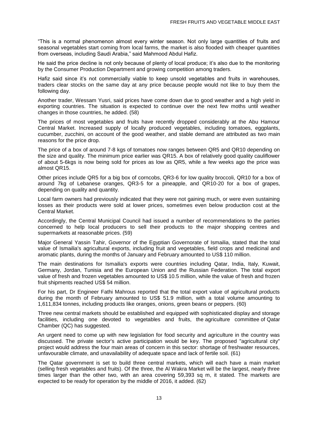"This is a normal phenomenon almost every winter season. Not only large quantities of fruits and seasonal vegetables start coming from local farms, the market is also flooded with cheaper quantities from overseas, including Saudi Arabia," said Mahmood Abdul Hafiz.

He said the price decline is not only because of plenty of local produce; it's also due to the monitoring by the Consumer Production Department and growing competition among traders.

Hafiz said since it's not commercially viable to keep unsold vegetables and fruits in warehouses, traders clear stocks on the same day at any price because people would not like to buy them the following day.

Another trader, Wessam Yusri, said prices have come down due to good weather and a high yield in exporting countries. The situation is expected to continue over the next few moths until weather changes in those countries, he added. (58)

The prices of most vegetables and fruits have recently dropped considerably at the Abu Hamour Central Market. Increased supply of locally produced vegetables, including tomatoes, eggplants, cucumber, zucchini, on account of the good weather, and stable demand are attributed as two main reasons for the price drop.

The price of a box of around 7-8 kgs of tomatoes now ranges between QR5 and QR10 depending on the size and quality. The minimum price earlier was QR15. A box of relatively good quality cauliflower of about 5-6kgs is now being sold for prices as low as QR5, while a few weeks ago the price was almost QR15.

Other prices include QR5 for a big box of corncobs, QR3-6 for low quality broccoli, QR10 for a box of around 7kg of Lebanese oranges, QR3-5 for a pineapple, and QR10-20 for a box of grapes, depending on quality and quantity.

Local farm owners had previously indicated that they were not gaining much, or were even sustaining losses as their products were sold at lower prices, sometimes even below production cost at the Central Market.

Accordingly, the Central Municipal Council had issued a number of recommendations to the parties concerned to help local producers to sell their products to the major shopping centres and supermarkets at reasonable prices. (59)

Major General Yassin Tahir, Governor of the Egyptian Governorate of Ismailia, stated that the total value of Ismailia's agricultural exports, including fruit and vegetables, field crops and medicinal and aromatic plants, during the months of January and February amounted to US\$ 110 million.

The main destinations for Ismailia's exports were countries including Qatar, India, Italy, Kuwait, Germany, Jordan, Tunisia and the European Union and the Russian Federation. The total export value of fresh and frozen vegetables amounted to US\$ 10.5 million, while the value of fresh and frozen fruit shipments reached US\$ 54 million.

For his part, Dr Engineer Fathi Mahrous reported that the total export value of agricultural products during the month of February amounted to US\$ 51.9 million, with a total volume amounting to 1,611,834 tonnes, including products like oranges, onions, green beans or peppers. (60)

Three new central markets should be established and equipped with sophisticated display and storage facilities, including one devoted to vegetables and fruits, the agriculture committee of Qatar Chamber (QC) has suggested.

An urgent need to come up with new legislation for food security and agriculture in the country was discussed. The private sector's active participation would be key. The proposed "agricultural city" project would address the four main areas of concern in this sector: shortage of freshwater resources, unfavourable climate, and unavailability of adequate space and lack of fertile soil. (61)

The Qatar government is set to build three central markets, which will each have a main market (selling fresh vegetables and fruits). Of the three, the Al Wakra Market will be the largest, nearly three times larger than the other two, with an area covering 59,393 sq m, it stated. The markets are expected to be ready for operation by the middle of 2016, it added. (62)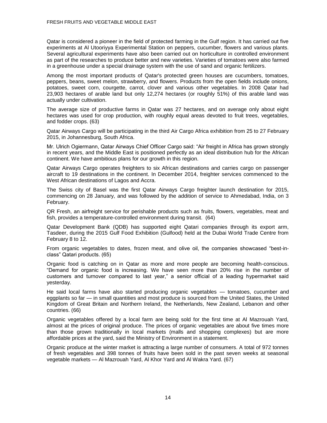Qatar is considered a pioneer in the field of protected farming in the Gulf region. It has carried out five experiments at Al Utooriyya Experimental Station on peppers, cucumber, flowers and various plants. Several agricultural experiments have also been carried out on horticulture in controlled environment as part of the researches to produce better and new varieties. Varieties of tomatoes were also farmed in a greenhouse under a special drainage system with the use of sand and organic fertilizers.

Among the most important products of Qatar's protected green houses are cucumbers, tomatoes, peppers, beans, sweet melon, strawberry, and flowers. Products from the open fields include onions, potatoes, sweet corn, courgette, carrot, clover and various other vegetables. In 2008 Qatar had 23,903 hectares of arable land but only 12,274 hectares (or roughly 51%) of this arable land was actually under cultivation.

The average size of productive farms in Qatar was 27 hectares, and on average only about eight hectares was used for crop production, with roughly equal areas devoted to fruit trees, vegetables, and fodder crops. (63)

Qatar Airways Cargo will be participating in the third Air Cargo Africa exhibition from 25 to 27 February 2015, in Johannesburg, South Africa.

Mr. Ulrich Ogiermann, Qatar Airways Chief Officer Cargo said: "Air freight in Africa has grown strongly in recent years, and the Middle East is positioned perfectly as an ideal distribution hub for the African continent. We have ambitious plans for our growth in this region.

Qatar Airways Cargo operates freighters to six African destinations and carries cargo on passenger aircraft to 19 destinations in the continent. In December 2014, freighter services commenced to the West African destinations of Lagos and Accra.

The Swiss city of Basel was the first Qatar Airways Cargo freighter launch destination for 2015, commencing on 28 January, and was followed by the addition of service to Ahmedabad, India, on 3 February.

QR Fresh, an airfreight service for perishable products such as fruits, flowers, vegetables, meat and fish, provides a temperature-controlled environment during transit. (64)

Qatar Development Bank (QDB) has supported eight Qatari companies through its export arm, Tasdeer, during the 2015 Gulf Food Exhibition (Gulfood) held at the Dubai World Trade Centre from February 8 to 12.

From organic vegetables to dates, frozen meat, and olive oil, the companies showcased "best-inclass" Qatari products. (65)

Organic food is catching on in Qatar as more and more people are becoming health-conscious. "Demand for organic food is increasing. We have seen more than 20% rise in the number of customers and turnover compared to last year," a senior official of a leading hypermarket said yesterday.

He said local farms have also started producing organic vegetables — tomatoes, cucumber and eggplants so far — in small quantities and most produce is sourced from the United States, the United Kingdom of Great Britain and Northern Ireland, the Netherlands, New Zealand, Lebanon and other countries. (66)

Organic vegetables offered by a local farm are being sold for the first time at Al Mazrouah Yard, almost at the prices of original produce. The prices of organic vegetables are about five times more than those grown traditionally in local markets (malls and shopping complexes) but are more affordable prices at the yard, said the Ministry of Environment in a statement.

Organic produce at the winter market is attracting a large number of consumers. A total of 972 tonnes of fresh vegetables and 398 tonnes of fruits have been sold in the past seven weeks at seasonal vegetable markets — Al Mazrouah Yard, Al Khor Yard and Al Wakra Yard. (67)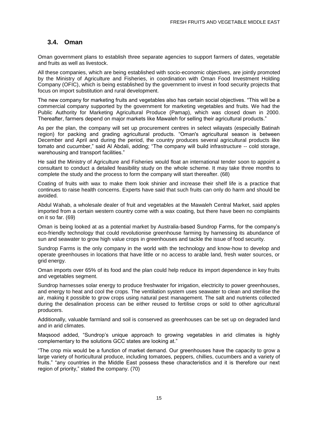### **3.4. Oman**

Oman government plans to establish three separate agencies to support farmers of dates, vegetable and fruits as well as livestock.

<span id="page-17-0"></span>All these companies, which are being established with socio-economic objectives, are jointly promoted by the Ministry of Agriculture and Fisheries, in coordination with Oman Food Investment Holding Company (OFIC), which is being established by the government to invest in food security projects that focus on import substitution and rural development.

The new company for marketing fruits and vegetables also has certain social objectives. "This will be a commercial company supported by the government for marketing vegetables and fruits. We had the Public Authority for Marketing Agricultural Produce (Pamap), which was closed down in 2000. Thereafter, farmers depend on major markets like Mawaleh for selling their agricultural products."

As per the plan, the company will set up procurement centres in select wilayats (especially Batinah region) for packing and grading agricultural products. "Oman's agricultural season is between December and April and during the period, the country produces several agricultural products like tomato and cucumber," said Al Abdali, adding; "The company will build infrastructure -- cold storage, warehousing and transport facilities."

He said the Ministry of Agriculture and Fisheries would float an international tender soon to appoint a consultant to conduct a detailed feasibility study on the whole scheme. It may take three months to complete the study and the process to form the company will start thereafter. (68)

Coating of fruits with wax to make them look shinier and increase their shelf life is a practice that continues to raise health concerns. Experts have said that such fruits can only do harm and should be avoided.

Abdul Wahab, a wholesale dealer of fruit and vegetables at the Mawaleh Central Market, said apples imported from a certain western country come with a wax coating, but there have been no complaints on it so far. (69)

Oman is being looked at as a potential market by Australia-based Sundrop Farms, for the company's eco-friendly technology that could revolutionise greenhouse farming by harnessing its abundance of sun and seawater to grow high value crops in greenhouses and tackle the issue of food security.

Sundrop Farms is the only company in the world with the technology and know-how to develop and operate greenhouses in locations that have little or no access to arable land, fresh water sources, or grid energy.

Oman imports over 65% of its food and the plan could help reduce its import dependence in key fruits and vegetables segment.

Sundrop harnesses solar energy to produce freshwater for irrigation, electricity to power greenhouses, and energy to heat and cool the crops. The ventilation system uses seawater to clean and sterilise the air, making it possible to grow crops using natural pest management. The salt and nutrients collected during the desalination process can be either reused to fertilise crops or sold to other agricultural producers.

Additionally, valuable farmland and soil is conserved as greenhouses can be set up on degraded land and in arid climates.

Maqsood added, "Sundrop's unique approach to growing vegetables in arid climates is highly complementary to the solutions GCC states are looking at."

"The crop mix would be a function of market demand. Our greenhouses have the capacity to grow a large variety of horticultural produce, including tomatoes, peppers, chillies, cucumbers and a variety of fruits." "any countries in the Middle East possess these characteristics and it is therefore our next region of priority," stated the company. (70)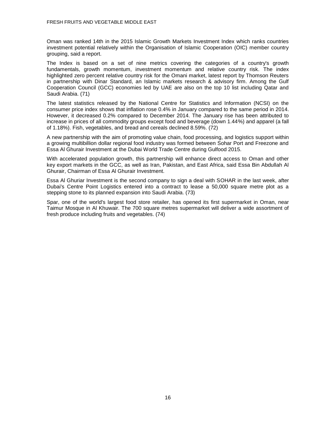Oman was ranked 14th in the 2015 Islamic Growth Markets Investment Index which ranks countries investment potential relatively within the Organisation of Islamic Cooperation (OIC) member country grouping, said a report.

The Index is based on a set of nine metrics covering the categories of a country's growth fundamentals, growth momentum, investment momentum and relative country risk. The index highlighted zero percent relative country risk for the Omani market, latest report by Thomson Reuters in partnership with Dinar Standard, an Islamic markets research & advisory firm. Among the Gulf Cooperation Council (GCC) economies led by UAE are also on the top 10 list including Qatar and Saudi Arabia. (71)

The latest statistics released by the National Centre for Statistics and Information (NCSI) on the consumer price index shows that inflation rose 0.4% in January compared to the same period in 2014. However, it decreased 0.2% compared to December 2014. The January rise has been attributed to increase in prices of all commodity groups except food and beverage (down 1.44%) and apparel (a fall of 1.18%). Fish, vegetables, and bread and cereals declined 8.59%. (72)

A new partnership with the aim of promoting value chain, food processing, and logistics support within a growing multibillion dollar regional food industry was formed between Sohar Port and Freezone and Essa Al Ghurair Investment at the Dubai World Trade Centre during Gulfood 2015.

With accelerated population growth, this partnership will enhance direct access to Oman and other key export markets in the GCC, as well as Iran, Pakistan, and East Africa, said Essa Bin Abdullah Al Ghurair, Chairman of Essa Al Ghurair Investment.

Essa Al Ghuriar Investment is the second company to sign a deal with SOHAR in the last week, after Dubai's Centre Point Logistics entered into a contract to lease a 50,000 square metre plot as a stepping stone to its planned expansion into Saudi Arabia. (73)

Spar, one of the world's largest food store retailer, has opened its first supermarket in Oman, near Taimur Mosque in Al Khuwair. The 700 square metres supermarket will deliver a wide assortment of fresh produce including fruits and vegetables. (74)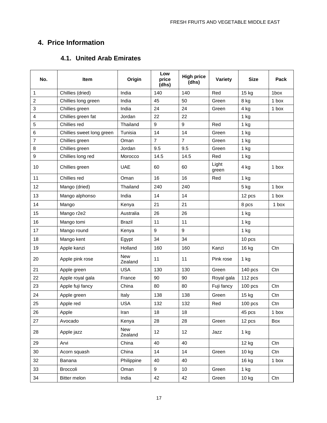### **4. Price Information**

### **4.1. United Arab Emirates**

<span id="page-19-1"></span><span id="page-19-0"></span>

| No.            | <b>Item</b>               | Origin                | Low<br>price<br>(dhs) | <b>High price</b><br>(dhs) | Variety        | <b>Size</b> | Pack  |
|----------------|---------------------------|-----------------------|-----------------------|----------------------------|----------------|-------------|-------|
| 1              | Chillies (dried)          | India                 | 140                   | 140                        | Red            | 15 kg       | 1box  |
| $\overline{c}$ | Chillies long green       | India                 | 45                    | 50                         | Green          | 8 kg        | 1 box |
| 3              | Chillies green            | India                 | 24                    | 24                         | Green          | 4 kg        | 1 box |
| 4              | Chillies green fat        | Jordan                | 22                    | 22                         |                | 1 kg        |       |
| 5              | Chillies red              | Thailand              | 9                     | 9                          | Red            | 1 kg        |       |
| 6              | Chillies sweet long green | Tunisia               | 14                    | 14                         | Green          | 1 kg        |       |
| $\overline{7}$ | Chillies green            | Oman                  | $\overline{7}$        | $\overline{7}$             | Green          | 1 kg        |       |
| 8              | Chillies green            | Jordan                | 9.5                   | 9.5                        | Green          | 1 kg        |       |
| 9              | Chillies long red         | Morocco               | 14.5                  | 14.5                       | Red            | 1 kg        |       |
| 10             | Chillies green            | <b>UAE</b>            | 60                    | 60                         | Light<br>green | 4 kg        | 1 box |
| 11             | Chillies red              | Oman                  | 16                    | 16                         | Red            | 1 kg        |       |
| 12             | Mango (dried)             | Thailand              | 240                   | 240                        |                | 5 kg        | 1 box |
| 13             | Mango alphonso            | India                 | 14                    | 14                         |                | 12 pcs      | 1 box |
| 14             | Mango                     | Kenya                 | 21                    | 21                         |                | 8 pcs       | 1 box |
| 15             | Mango r2e2                | Australia             | 26                    | 26                         |                | 1 kg        |       |
| 16             | Mango tomi                | <b>Brazil</b>         | 11                    | 11                         |                | 1 kg        |       |
| 17             | Mango round               | Kenya                 | 9                     | 9                          |                | 1 kg        |       |
| 18             | Mango kent                | Egypt                 | 34                    | 34                         |                | 10 pcs      |       |
| 19             | Apple kanzi               | Holland               | 160                   | 160                        | Kanzi          | 16 kg       | Ctn   |
| 20             | Apple pink rose           | <b>New</b><br>Zealand | 11                    | 11                         | Pink rose      | 1 kg        |       |
| 21             | Apple green               | <b>USA</b>            | 130                   | 130                        | Green          | 140 pcs     | Ctn   |
| 22             | Apple royal gala          | France                | 90                    | 90                         | Royal gala     | 112 pcs     |       |
| 23             | Apple fuji fancy          | China                 | 80                    | 80                         | Fuji fancy     | $100$ pcs   | Ctn   |
| 24             | Apple green               | Italy                 | 138                   | 138                        | Green          | 15 kg       | Ctn   |
| 25             | Apple red                 | <b>USA</b>            | 132                   | 132                        | Red            | $100$ pcs   | Ctn   |
| 26             | Apple                     | Iran                  | 18                    | 18                         |                | 45 pcs      | 1 box |
| 27             | Avocado                   | Kenya                 | 28                    | 28                         | Green          | 12 pcs      | Box   |
| 28             | Apple jazz                | New<br>Zealand        | 12                    | 12                         | Jazz           | 1 kg        |       |
| 29             | Arvi                      | China                 | 40                    | 40                         |                | 12 kg       | Ctn   |
| 30             | Acorn squash              | China                 | 14                    | 14                         | Green          | 10 kg       | Ctn   |
| 32             | Banana                    | Philippine            | 40                    | 40                         |                | 16 kg       | 1 box |
| 33             | Broccoli                  | Oman                  | 9                     | 10                         | Green          | $1$ kg      |       |
| 34             | Bitter melon              | India                 | 42                    | 42                         | Green          | 10 kg       | Ctn   |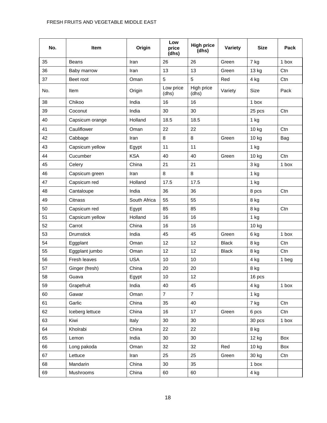### FRESH FRUITS AND VEGETABLE MIDDLE EAST

| No. | Item             | Origin       | Low<br>price<br>(dhs) | <b>High price</b><br>(dhs) | Variety      | <b>Size</b> | Pack  |
|-----|------------------|--------------|-----------------------|----------------------------|--------------|-------------|-------|
| 35  | Beans            | Iran         | 26                    | 26                         | Green        | 7 kg        | 1 box |
| 36  | Baby marrow      | Iran         | 13                    | 13                         | Green        | 13 kg       | Ctn   |
| 37  | Beet root        | Oman         | 5                     | 5                          | Red          | 4 kg        | Ctn   |
| No. | Item             | Origin       | Low price<br>(dhs)    | High price<br>(dhs)        | Variety      | Size        | Pack  |
| 38  | Chikoo           | India        | 16                    | 16                         |              | 1 box       |       |
| 39  | Coconut          | India        | 30                    | 30                         |              | 25 pcs      | Ctn   |
| 40  | Capsicum orange  | Holland      | 18.5                  | 18.5                       |              | 1 kg        |       |
| 41  | Cauliflower      | Oman         | 22                    | 22                         |              | 10 kg       | Ctn   |
| 42  | Cabbage          | Iran         | 8                     | 8                          | Green        | 10 kg       | Bag   |
| 43  | Capsicum yellow  | Egypt        | 11                    | 11                         |              | 1 kg        |       |
| 44  | Cucumber         | <b>KSA</b>   | 40                    | 40                         | Green        | 10 kg       | Ctn   |
| 45  | Celery           | China        | 21                    | 21                         |              | 3 kg        | 1 box |
| 46  | Capsicum green   | Iran         | 8                     | 8                          |              | 1 kg        |       |
| 47  | Capsicum red     | Holland      | 17.5                  | 17.5                       |              | 1 kg        |       |
| 48  | Cantaloupe       | India        | 36                    | 36                         |              | 8 pcs       | Ctn   |
| 49  | Citnass          | South Africa | 55                    | 55                         |              | 8 kg        |       |
| 50  | Capsicum red     | Egypt        | 85                    | 85                         |              | 8 kg        | Ctn   |
| 51  | Capsicum yellow  | Holland      | 16                    | 16                         |              | 1 kg        |       |
| 52  | Carrot           | China        | 16                    | 16                         |              | 10 kg       |       |
| 53  | <b>Drumstick</b> | India        | 45                    | 45                         | Green        | 6 kg        | 1 box |
| 54  | Eggplant         | Oman         | 12                    | 12                         | <b>Black</b> | 8 kg        | Ctn   |
| 55  | Eggplant jumbo   | Oman         | 12                    | 12                         | <b>Black</b> | 8 kg        | Ctn   |
| 56  | Fresh leaves     | <b>USA</b>   | 10                    | 10                         |              | 4 kg        | 1 beg |
| 57  | Ginger (fresh)   | China        | 20                    | 20                         |              | 8 kg        |       |
| 58  | Guava            | Egypt        | $10$                  | 12                         |              | 16 pcs      |       |
| 59  | Grapefruit       | India        | 40                    | 45                         |              | 4 kg        | 1 box |
| 60  | Gawar            | Oman         | $\overline{7}$        | $\overline{7}$             |              | 1 kg        |       |
| 61  | Garlic           | China        | 35                    | 40                         |              | 7 kg        | Ctn   |
| 62  | Iceberg lettuce  | China        | 16                    | 17                         | Green        | 6 pcs       | Ctn   |
| 63  | Kiwi             | Italy        | 30                    | 30                         |              | 30 pcs      | 1 box |
| 64  | Kholrabi         | China        | 22                    | 22                         |              | 8 kg        |       |
| 65  | Lemon            | India        | 30                    | 30                         |              | 12 kg       | Box   |
| 66  | Long pakoda      | Oman         | 32                    | 32                         | Red          | 10 kg       | Box   |
| 67  | Lettuce          | Iran         | 25                    | 25                         | Green        | 30 kg       | Ctn   |
| 68  | Mandarin         | China        | 30                    | 35                         |              | 1 box       |       |
| 69  | Mushrooms        | China        | 60                    | 60                         |              | 4 kg        |       |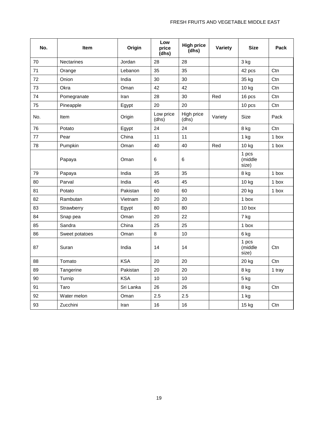| No. | <b>Item</b>       | Origin     | Low<br>price<br>(dhs) | <b>High price</b><br>(dhs) | Variety | <b>Size</b>               | Pack   |
|-----|-------------------|------------|-----------------------|----------------------------|---------|---------------------------|--------|
| 70  | <b>Nectarines</b> | Jordan     | 28                    | 28                         |         | 3 kg                      |        |
| 71  | Orange            | Lebanon    | 35                    | 35                         |         | 42 pcs                    | Ctn    |
| 72  | Onion             | India      | 30                    | 30                         |         | 35 kg                     | Ctn    |
| 73  | Okra              | Oman       | 42                    | 42                         |         | 10 kg                     | Ctn    |
| 74  | Pomegranate       | Iran       | 28                    | 30                         | Red     | 16 pcs                    | Ctn    |
| 75  | Pineapple         | Egypt      | 20                    | 20                         |         | 10 pcs                    | Ctn    |
| No. | Item              | Origin     | Low price<br>(dhs)    | High price<br>(dhs)        | Variety | Size                      | Pack   |
| 76  | Potato            | Egypt      | 24                    | 24                         |         | 8 kg                      | Ctn    |
| 77  | Pear              | China      | 11                    | 11                         |         | $1$ kg                    | 1 box  |
| 78  | Pumpkin           | Oman       | 40                    | 40                         | Red     | 10 kg                     | 1 box  |
|     | Papaya            | Oman       | 6                     | 6                          |         | 1 pcs<br>(middle<br>size) |        |
| 79  | Papaya            | India      | 35                    | 35                         |         | 8 kg                      | 1 box  |
| 80  | Parval            | India      | 45                    | 45                         |         | 10 kg                     | 1 box  |
| 81  | Potato            | Pakistan   | 60                    | 60                         |         | 20 kg                     | 1 box  |
| 82  | Rambutan          | Vietnam    | 20                    | 20                         |         | 1 box                     |        |
| 83  | Strawberry        | Egypt      | 80                    | 80                         |         | 10 <sub>box</sub>         |        |
| 84  | Snap pea          | Oman       | 20                    | 22                         |         | 7 kg                      |        |
| 85  | Sandra            | China      | 25                    | 25                         |         | 1 box                     |        |
| 86  | Sweet potatoes    | Oman       | 8                     | 10                         |         | 6 kg                      |        |
| 87  | Suran             | India      | 14                    | 14                         |         | 1 pcs<br>(middle<br>size) | Ctn    |
| 88  | Tomato            | <b>KSA</b> | 20                    | 20                         |         | 20 kg                     | Ctn    |
| 89  | Tangerine         | Pakistan   | 20                    | 20                         |         | 8 kg                      | 1 tray |
| 90  | Turnip            | <b>KSA</b> | 10                    | 10                         |         | 5 kg                      |        |
| 91  | Taro              | Sri Lanka  | 26                    | 26                         |         | 8 kg                      | Ctn    |
| 92  | Water melon       | Oman       | 2.5                   | 2.5                        |         | 1 kg                      |        |
| 93  | Zucchini          | Iran       | 16                    | 16                         |         | 15 kg                     | Ctn    |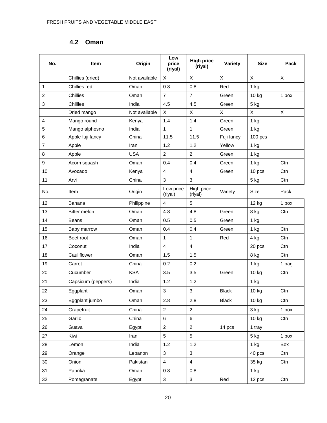### **4.2 Oman**

<span id="page-22-0"></span>

| No.                     | Item                | Origin        | Low<br>price<br>(riyal) | <b>High price</b><br>(riyal) | Variety      | <b>Size</b> | Pack  |
|-------------------------|---------------------|---------------|-------------------------|------------------------------|--------------|-------------|-------|
|                         | Chillies (dried)    | Not available | X                       | X                            | X            | X           | X     |
| 1                       | Chillies red        | Oman          | 0.8                     | 0.8                          | Red          | 1 kg        |       |
| $\overline{\mathbf{c}}$ | Chillies            | Oman          | $\overline{7}$          | $\overline{7}$               | Green        | 10 kg       | 1 box |
| 3                       | Chillies            | India         | 4.5                     | 4.5                          | Green        | 5 kg        |       |
|                         | Dried mango         | Not available | X                       | $\mathsf{X}$                 | X            | X           | X     |
| $\overline{4}$          | Mango round         | Kenya         | 1.4                     | 1.4                          | Green        | $1$ kg      |       |
| 5                       | Mango alphosno      | India         | 1                       | 1                            | Green        | 1 kg        |       |
| 6                       | Apple fuji fancy    | China         | 11.5                    | 11.5                         | Fuji fancy   | $100$ pcs   |       |
| $\overline{7}$          | Apple               | Iran          | 1.2                     | 1.2                          | Yellow       | 1 kg        |       |
| 8                       | Apple               | <b>USA</b>    | $\overline{2}$          | $\overline{2}$               | Green        | $1$ kg      |       |
| $\boldsymbol{9}$        | Acorn squash        | Oman          | 0.4                     | 0.4                          | Green        | 1 kg        | Ctn   |
| 10                      | Avocado             | Kenya         | $\overline{4}$          | $\overline{\mathbf{4}}$      | Green        | 10 pcs      | Ctn   |
| 11                      | Arvi                | China         | 3                       | 3                            |              | 5 kg        | Ctn   |
| No.                     | Item                | Origin        | Low price<br>(riyal)    | High price<br>(riyal)        | Variety      | Size        | Pack  |
| 12                      | Banana              | Philippine    | $\overline{4}$          | 5                            |              | 12 kg       | 1 box |
| 13                      | <b>Bitter melon</b> | Oman          | 4.8                     | 4.8                          | Green        | 8 kg        | Ctn   |
| 14                      | Beans               | Oman          | 0.5                     | 0.5                          | Green        | $1$ kg      |       |
| 15                      | Baby marrow         | Oman          | 0.4                     | 0.4                          | Green        | 1 kg        | Ctn   |
| 16                      | Beet root           | Oman          | 1                       | $\mathbf{1}$                 | Red          | 4 kg        | Ctn   |
| 17                      | Coconut             | India         | $\overline{4}$          | $\overline{4}$               |              | 20 pcs      | Ctn   |
| 18                      | Cauliflower         | Oman          | 1.5                     | 1.5                          |              | 8 kg        | Ctn   |
| 19                      | Carrot              | China         | 0.2                     | 0.2                          |              | 1 kg        | 1 bag |
| 20                      | Cucumber            | <b>KSA</b>    | 3.5                     | 3.5                          | Green        | 10 kg       | Ctn   |
| 21                      | Capsicum (peppers)  | India         | 1.2                     | 1.2                          |              | $1$ kg      |       |
| 22                      | Eggplant            | Oman          | 3                       | $\mathsf 3$                  | <b>Black</b> | 10 kg       | Ctn   |
| 23                      | Eggplant jumbo      | Oman          | 2.8                     | 2.8                          | <b>Black</b> | 10 kg       | Ctn   |
| 24                      | Grapefruit          | China         | $\overline{2}$          | $\overline{2}$               |              | 3 kg        | 1 box |
| 25                      | Garlic              | China         | 6                       | 6                            |              | 10 kg       | Ctn   |
| 26                      | Guava               | Egypt         | $\overline{2}$          | $\overline{2}$               | 14 pcs       | 1 tray      |       |
| 27                      | Kiwi                | Iran          | 5                       | 5                            |              | 5 kg        | 1 box |
| 28                      | Lemon               | India         | 1.2                     | 1.2                          |              | $1$ kg      | Box   |
| 29                      | Orange              | Lebanon       | 3                       | $\mathbf{3}$                 |              | 40 pcs      | Ctn   |
| 30                      | Onion               | Pakistan      | $\overline{4}$          | $\overline{4}$               |              | 35 kg       | Ctn   |
| 31                      | Paprika             | Oman          | 0.8                     | 0.8                          |              | 1 kg        |       |
| 32                      | Pomegranate         | Egypt         | $\mathfrak{S}$          | $\mathbf{3}$                 | Red          | 12 pcs      | Ctn   |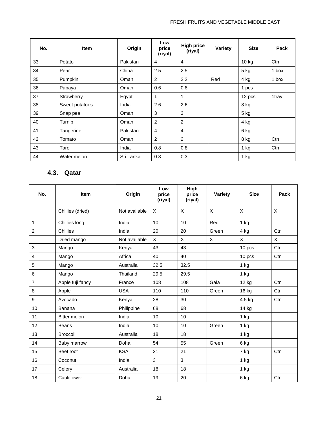| No. | <b>Item</b>    | Origin    | Low<br>price<br>(riyal) | <b>High price</b><br>(riyal) | Variety | <b>Size</b> | Pack  |
|-----|----------------|-----------|-------------------------|------------------------------|---------|-------------|-------|
| 33  | Potato         | Pakistan  | 4                       | 4                            |         | 10 kg       | Ctn   |
| 34  | Pear           | China     | 2.5                     | 2.5                          |         | $5$ kg      | 1 box |
| 35  | Pumpkin        | Oman      | 2                       | 2.2                          | Red     | 4 kg        | 1 box |
| 36  | Papaya         | Oman      | 0.6                     | 0.8                          |         | 1 pcs       |       |
| 37  | Strawberry     | Egypt     | 1                       | 1                            |         | 12 pcs      | 1tray |
| 38  | Sweet potatoes | India     | 2.6                     | 2.6                          |         | 8 kg        |       |
| 39  | Snap pea       | Oman      | 3                       | 3                            |         | $5$ kg      |       |
| 40  | Turnip         | Oman      | 2                       | 2                            |         | 4 kg        |       |
| 41  | Tangerine      | Pakistan  | $\overline{4}$          | 4                            |         | 6 kg        |       |
| 42  | Tomato         | Oman      | 2                       | 2                            |         | 8 kg        | Ctn   |
| 43  | Taro           | India     | 0.8                     | 0.8                          |         | $1$ kg      | Ctn   |
| 44  | Water melon    | Sri Lanka | 0.3                     | 0.3                          |         | $1$ kg      |       |

### **4.3. Qatar**

<span id="page-23-0"></span>

| No.                       | <b>Item</b>         | Origin        | Low<br>price<br>(riyal) | High<br>price<br>(riyal) | Variety | <b>Size</b> | Pack |
|---------------------------|---------------------|---------------|-------------------------|--------------------------|---------|-------------|------|
|                           | Chillies (dried)    | Not available | X                       | X                        | X       | X           | X    |
| 1                         | Chillies long       | India         | 10                      | 10                       | Red     | $1$ kg      |      |
| $\overline{2}$            | Chillies            | India         | 20                      | 20                       | Green   | 4 kg        | Ctn  |
|                           | Dried mango         | Not available | $\mathsf{X}$            | X                        | X       | X           | X    |
| $\ensuremath{\mathsf{3}}$ | Mango               | Kenya         | 43                      | 43                       |         | 10 pcs      | Ctn  |
| $\overline{4}$            | Mango               | Africa        | 40                      | 40                       |         | 10 pcs      | Ctn  |
| 5                         | Mango               | Australia     | 32.5                    | 32.5                     |         | 1 kg        |      |
| 6                         | Mango               | Thailand      | 29.5                    | 29.5                     |         | $1$ kg      |      |
| $\overline{7}$            | Apple fuji fancy    | France        | 108                     | 108                      | Gala    | 12 kg       | Ctn  |
| 8                         | Apple               | <b>USA</b>    | 110                     | 110                      | Green   | 16 kg       | Ctn  |
| 9                         | Avocado             | Kenya         | 28                      | 30                       |         | 4.5 kg      | Ctn  |
| 10                        | Banana              | Philippine    | 68                      | 68                       |         | 14 kg       |      |
| 11                        | <b>Bitter melon</b> | India         | 10                      | 10                       |         | $1$ kg      |      |
| 12                        | <b>Beans</b>        | India         | 10                      | 10                       | Green   | $1$ kg      |      |
| 13                        | <b>Broccoli</b>     | Australia     | 18                      | 18                       |         | 1 kg        |      |
| 14                        | Baby marrow         | Doha          | 54                      | 55                       | Green   | 6 kg        |      |
| 15                        | Beet root           | <b>KSA</b>    | 21                      | 21                       |         | 7 kg        | Ctn  |
| 16                        | Coconut             | India         | 3                       | 3                        |         | $1$ kg      |      |
| 17                        | Celery              | Australia     | 18                      | 18                       |         | $1$ kg      |      |
| 18                        | Cauliflower         | Doha          | 19                      | 20                       |         | 6 kg        | Ctn  |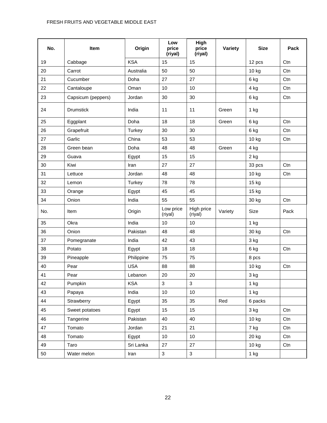### FRESH FRUITS AND VEGETABLE MIDDLE EAST

| No. | Item               | Origin     | Low<br>price<br>(riyal) | High<br>price<br>(riyal) | <b>Variety</b> | <b>Size</b> | Pack |
|-----|--------------------|------------|-------------------------|--------------------------|----------------|-------------|------|
| 19  | Cabbage            | <b>KSA</b> | 15                      | 15                       |                | 12 pcs      | Ctn  |
| 20  | Carrot             | Australia  | 50                      | 50                       |                | 10 kg       | Ctn  |
| 21  | Cucumber           | Doha       | 27                      | 27                       |                | 6 kg        | Ctn  |
| 22  | Cantaloupe         | Oman       | 10                      | 10                       |                | 4 kg        | Ctn  |
| 23  | Capsicum (peppers) | Jordan     | 30                      | 30                       |                | 6 kg        | Ctn  |
| 24  | <b>Drumstick</b>   | India      | 11                      | 11                       | Green          | 1 kg        |      |
| 25  | Eggplant           | Doha       | 18                      | 18                       | Green          | 6 kg        | Ctn  |
| 26  | Grapefruit         | Turkey     | 30                      | 30                       |                | 6 kg        | Ctn  |
| 27  | Garlic             | China      | 53                      | 53                       |                | 10 kg       | Ctn  |
| 28  | Green bean         | Doha       | 48                      | 48                       | Green          | 4 kg        |      |
| 29  | Guava              | Egypt      | 15                      | 15                       |                | 2 kg        |      |
| 30  | Kiwi               | Iran       | 27                      | 27                       |                | 33 pcs      | Ctn  |
| 31  | Lettuce            | Jordan     | 48                      | 48                       |                | 10 kg       | Ctn  |
| 32  | Lemon              | Turkey     | 78                      | 78                       |                | 15 kg       |      |
| 33  | Orange             | Egypt      | 45                      | 45                       |                | 15 kg       |      |
| 34  | Onion              | India      | 55                      | 55                       |                | 30 kg       | Ctn  |
| No. | Item               | Origin     | Low price<br>(riyal)    | High price<br>(riyal)    | Variety        | Size        | Pack |
| 35  | Okra               | India      | 10                      | 10                       |                | 1 kg        |      |
| 36  | Onion              | Pakistan   | 48                      | 48                       |                | 30 kg       | Ctn  |
| 37  | Pomegranate        | India      | 42                      | 43                       |                | 3 kg        |      |
| 38  | Potato             | Egypt      | 18                      | 18                       |                | 6 kg        | Ctn  |
| 39  | Pineapple          | Philippine | 75                      | 75                       |                | 8 pcs       |      |
| 40  | Pear               | <b>USA</b> | 88                      | 88                       |                | 10 kg       | Ctn  |
| 41  | Pear               | Lebanon    | 20                      | 20                       |                | 3 kg        |      |
| 42  | Pumpkin            | <b>KSA</b> | $\overline{3}$          | $\mathfrak{S}$           |                | $1$ kg      |      |
| 43  | Papaya             | India      | 10 <sub>1</sub>         | 10                       |                | 1 kg        |      |
| 44  | Strawberry         | Egypt      | 35                      | 35                       | Red            | 6 packs     |      |
| 45  | Sweet potatoes     | Egypt      | 15                      | 15                       |                | 3 kg        | Ctn  |
| 46  | Tangerine          | Pakistan   | 40                      | 40                       |                | 10 kg       | Ctn  |
| 47  | Tomato             | Jordan     | 21                      | 21                       |                | 7 kg        | Ctn  |
| 48  | Tomato             | Egypt      | 10 <sub>1</sub>         | 10                       |                | 20 kg       | Ctn  |
| 49  | Taro               | Sri Lanka  | 27                      | 27                       |                | 10 kg       | Ctn  |
| 50  | Water melon        | Iran       | 3 <sup>1</sup>          | $\mathbf{3}$             |                | 1 kg        |      |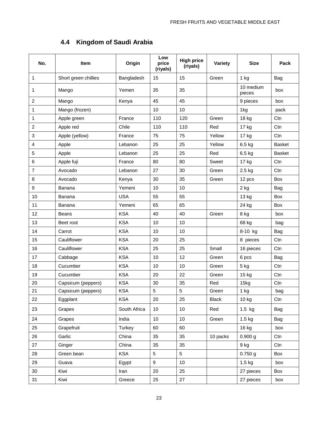### **4.4 Kingdom of Saudi Arabia**

<span id="page-25-0"></span>

| No.            | Item                 | Origin       | Low<br>price<br>(riyals) | <b>High price</b><br>(riyals) | Variety      | <b>Size</b>         | Pack          |
|----------------|----------------------|--------------|--------------------------|-------------------------------|--------------|---------------------|---------------|
| 1              | Short green chillies | Bangladesh   | 15                       | 15                            | Green        | 1 kg                | Bag           |
| 1              | Mango                | Yemen        | 35                       | 35                            |              | 10 medium<br>pieces | box           |
| 2              | Mango                | Kenya        | 45                       | 45                            |              | 9 pieces            | box           |
| 1              | Mango (frozen)       |              | 10                       | 10                            |              | 1kg                 | pack          |
| 1              | Apple green          | France       | 110                      | 120                           | Green        | 18 kg               | Ctn           |
| 2              | Apple red            | Chile        | 110                      | 110                           | Red          | 17 kg               | Ctn           |
| 3              | Apple (yellow)       | France       | 75                       | 75                            | Yellow       | 17 kg               | Ctn           |
| 4              | Apple                | Lebanon      | 25                       | 25                            | Yellow       | 6.5 kg              | <b>Basket</b> |
| 5              | Apple                | Lebanon      | 25                       | 25                            | Red          | 6.5 kg              | <b>Basket</b> |
| 6              | Apple fuji           | France       | 80                       | 80                            | Sweet        | 17 kg               | Ctn           |
| $\overline{7}$ | Avocado              | Lebanon      | 27                       | 30                            | Green        | 2.5 kg              | Ctn           |
| 8              | Avocado              | Kenya        | 30                       | 35                            | Green        | 12 pcs              | Box           |
| 9              | Banana               | Yemeni       | 10                       | 10                            |              | 2 kg                | Bag           |
| 10             | Banana               | <b>USA</b>   | 55                       | 55                            |              | 13 kg               | Box           |
| 11             | Banana               | Yemeni       | 65                       | 65                            |              | 24 kg               | Box           |
| 12             | <b>Beans</b>         | <b>KSA</b>   | 40                       | 40                            | Green        | 8 kg                | box           |
| 13             | Beet root            | <b>KSA</b>   | 10                       | 10                            |              | 68 kg               | bag           |
| 14             | Carrot               | <b>KSA</b>   | 10                       | 10                            |              | 8-10 kg             | Bag           |
| 15             | Cauliflower          | <b>KSA</b>   | 20                       | 25                            |              | 8 pieces            | Ctn           |
| 16             | Cauliflower          | <b>KSA</b>   | 25                       | 25                            | Small        | 16 pieces           | Ctn           |
| 17             | Cabbage              | <b>KSA</b>   | 10                       | 12                            | Green        | 6 pcs               | Bag           |
| 18             | Cucumber             | <b>KSA</b>   | 10                       | 10                            | Green        | 5 kg                | Ctn           |
| 19             | Cucumber             | <b>KSA</b>   | 20                       | 22                            | Green        | 15 kg               | Ctn           |
| 20             | Capsicum (peppers)   | <b>KSA</b>   | 30                       | 35                            | Red          | 15kg                | Ctn           |
| 21             | Capsicum (peppers)   | <b>KSA</b>   | 5                        | 5                             | Green        | 1 kg                | bag           |
| 22             | Eggplant             | <b>KSA</b>   | 20                       | 25                            | <b>Black</b> | 10 kg               | Ctn           |
| 23             | Grapes               | South Africa | 10                       | 10                            | Red          | $1.5$ kg            | Bag           |
| 24             | Grapes               | India        | 10 <sub>1</sub>          | 10                            | Green        | $1.5 \text{ kg}$    | Bag           |
| 25             | Grapefruit           | Turkey       | 60                       | 60                            |              | 16 kg               | box           |
| 26             | Garlic               | China        | 35                       | 35                            | 10 packs     | 0.900 g             | Ctn           |
| 27             | Ginger               | China        | 35                       | 35                            |              | 9 kg                | Ctn           |
| 28             | Green bean           | <b>KSA</b>   | 5                        | $5\phantom{.0}$               |              | $0.750$ g           | Box           |
| 29             | Guava                | Egypt        | 9                        | 10                            |              | $1.5 \text{ kg}$    | box           |
| 30             | Kiwi                 | Iran         | 20                       | 25                            |              | 27 pieces           | Box           |
| 31             | Kiwi                 | Greece       | 25                       | 27                            |              | 27 pieces           | box           |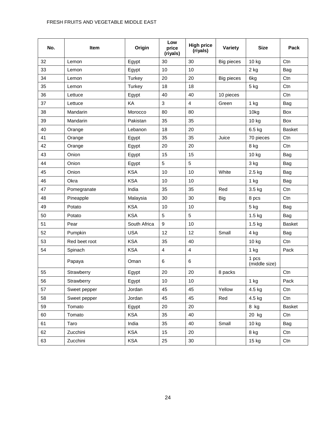### FRESH FRUITS AND VEGETABLE MIDDLE EAST

| No. | <b>Item</b>   | Origin       | Low<br>price<br>(riyals) | <b>High price</b><br>(riyals) | Variety           | <b>Size</b>            | Pack          |
|-----|---------------|--------------|--------------------------|-------------------------------|-------------------|------------------------|---------------|
| 32  | Lemon         | Egypt        | 30                       | 30                            | <b>Big pieces</b> | 10 kg                  | Ctn           |
| 33  | Lemon         | Egypt        | 10                       | 10                            |                   | $2$ kg                 | Bag           |
| 34  | Lemon         | Turkey       | 20                       | 20                            | <b>Big pieces</b> | 6kg                    | Ctn           |
| 35  | Lemon         | Turkey       | 18                       | 18                            |                   | 5 kg                   | Ctn           |
| 36  | Lettuce       | Egypt        | 40                       | 40                            | 10 pieces         |                        | Ctn           |
| 37  | Lettuce       | KA           | $\mathfrak{Z}$           | 4                             | Green             | $1$ kg                 | Bag           |
| 38  | Mandarin      | Morocco      | 80                       | 80                            |                   | 10kg                   | Box           |
| 39  | Mandarin      | Pakistan     | 35                       | 35                            |                   | 10 kg                  | Box           |
| 40  | Orange        | Lebanon      | 18                       | 20                            |                   | 6.5 kg                 | <b>Basket</b> |
| 41  | Orange        | Egypt        | 35                       | 35                            | Juice             | 70 pieces              | Ctn           |
| 42  | Orange        | Egypt        | 20                       | 20                            |                   | 8 kg                   | Ctn           |
| 43  | Onion         | Egypt        | 15                       | 15                            |                   | 10 kg                  | Bag           |
| 44  | Onion         | Egypt        | 5                        | 5                             |                   | 3 kg                   | Bag           |
| 45  | Onion         | <b>KSA</b>   | 10                       | 10                            | White             | 2.5 kg                 | Bag           |
| 46  | Okra          | <b>KSA</b>   | 10                       | 10                            |                   | $1$ kg                 | Bag           |
| 47  | Pomegranate   | India        | 35                       | 35                            | Red               | 3.5 kg                 | Ctn           |
| 48  | Pineapple     | Malaysia     | 30                       | 30                            | <b>Big</b>        | 8 pcs                  | Ctn           |
| 49  | Potato        | <b>KSA</b>   | 10                       | 10                            |                   | 5 kg                   | Bag           |
| 50  | Potato        | <b>KSA</b>   | 5                        | 5                             |                   | $1.5$ kg               | <b>Bag</b>    |
| 51  | Pear          | South Africa | 9                        | 10                            |                   | $1.5$ kg               | <b>Basket</b> |
| 52  | Pumpkin       | <b>USA</b>   | 12                       | 12                            | Small             | 4 kg                   | Bag           |
| 53  | Red beet root | <b>KSA</b>   | 35                       | 40                            |                   | 10 kg                  | Ctn           |
| 54  | Spinach       | <b>KSA</b>   | $\overline{4}$           | $\overline{\mathbf{4}}$       |                   | 1 kg                   | Pack          |
|     | Papaya        | Oman         | 6                        | 6                             |                   | 1 pcs<br>(middle size) |               |
| 55  | Strawberry    | Egypt        | 20                       | 20                            | 8 packs           |                        | Ctn           |
| 56  | Strawberry    | Egypt        | $10$                     | $10$                          |                   | $1$ kg                 | Pack          |
| 57  | Sweet pepper  | Jordan       | 45                       | 45                            | Yellow            | 4.5 kg                 | Ctn           |
| 58  | Sweet pepper  | Jordan       | 45                       | 45                            | Red               | 4.5 kg                 | Ctn           |
| 59  | Tomato        | Egypt        | 20                       | 20                            |                   | 8 kg                   | Basket        |
| 60  | Tomato        | <b>KSA</b>   | 35                       | 40                            |                   | 20 kg                  | Ctn           |
| 61  | Taro          | India        | 35                       | 40                            | Small             | 10 kg                  | Bag           |
| 62  | Zucchini      | <b>KSA</b>   | 15                       | 20                            |                   | 8 kg                   | Ctn           |
| 63  | Zucchini      | <b>KSA</b>   | 25                       | 30                            |                   | 15 kg                  | Ctn           |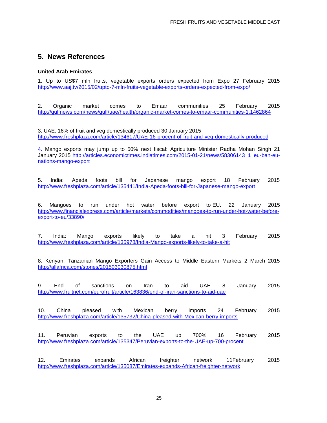### **5. News References**

#### **United Arab Emirates**

<span id="page-27-0"></span>1. Up to US\$7 mln fruits, vegetable exports orders expected from Expo 27 February 2015 <http://www.aaj.tv/2015/02/upto-7-mln-fruits-vegetable-exports-orders-expected-from-expo/>

2. Organic market comes to Emaar communities 25 February 2015 <http://gulfnews.com/news/gulf/uae/health/organic-market-comes-to-emaar-communities-1.1462864>

3. UAE: 16% of fruit and veg domestically produced 30 January 2015 <http://www.freshplaza.com/article/134617/UAE-16-procent-of-fruit-and-veg-domestically-produced>

4. Mango exports may jump up to 50% next fiscal: Agriculture Minister Radha Mohan Singh 21 January 2015 [http://articles.economictimes.indiatimes.com/2015-01-21/news/58306143\\_1\\_eu-ban-eu](http://articles.economictimes.indiatimes.com/2015-01-21/news/58306143_1_eu-ban-eu-nations-mango-export)[nations-mango-export](http://articles.economictimes.indiatimes.com/2015-01-21/news/58306143_1_eu-ban-eu-nations-mango-export)

5. India: Apeda foots bill for Japanese mango export 18 February 2015 <http://www.freshplaza.com/article/135441/India-Apeda-foots-bill-for-Japanese-mango-export>

6. Mangoes to run under hot water before export to EU. 22 January 2015 [http://www.financialexpress.com/article/markets/commodities/mangoes-to-run-under-hot-water-before](http://www.financialexpress.com/article/markets/commodities/mangoes-to-run-under-hot-water-before-export-to-eu/33890/)[export-to-eu/33890/](http://www.financialexpress.com/article/markets/commodities/mangoes-to-run-under-hot-water-before-export-to-eu/33890/)

7. India: Mango exports likely to take a hit 3 February 2015 <http://www.freshplaza.com/article/135978/India-Mango-exports-likely-to-take-a-hit>

8. Kenyan, Tanzanian Mango Exporters Gain Access to Middle Eastern Markets 2 March 2015 <http://allafrica.com/stories/201503030875.html>

9. End of sanctions on Iran to aid UAE 8 January 2015 <http://www.fruitnet.com/eurofruit/article/163836/end-of-iran-sanctions-to-aid-uae>

10. China pleased with Mexican berry imports 24 February 2015 <http://www.freshplaza.com/article/135732/China-pleased-with-Mexican-berry-imports>

11. Peruvian exports to the UAE up 700% 16 February 2015 <http://www.freshplaza.com/article/135347/Peruvian-exports-to-the-UAE-up-700-procent>

12. Emirates expands African freighter network 11February 2015 <http://www.freshplaza.com/article/135087/Emirates-expands-African-freighter-network>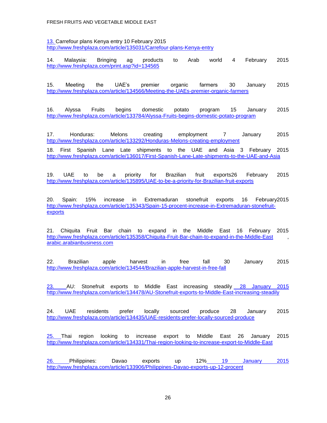13. Carrefour plans Kenya entry 10 February 2015 <http://www.freshplaza.com/article/135031/Carrefour-plans-Kenya-entry>

14. Malaysia: Bringing ag products to Arab world 4 February 2015 <http://www.freshplaza.com/print.asp?id=134565>

15. Meeting the UAE's premier organic farmers 30 January 2015 <http://www.freshplaza.com/article/134566/Meeting-the-UAEs-premier-organic-farmers>

16. Alyssa Fruits begins domestic potato program 15 January 2015 <http://www.freshplaza.com/article/133784/Alyssa-Fruits-begins-domestic-potato-program>

17. Honduras: Melons creating employment 7 January 2015 <http://www.freshplaza.com/article/133292/Honduras-Melons-creating-employment>

18. First Spanish Lane Late shipments to the UAE and Asia 3 February 2015 <http://www.freshplaza.com/article/136017/First-Spanish-Lane-Late-shipments-to-the-UAE-and-Asia>

19. UAE to be a priority for Brazilian fruit exports26 February 2015 <http://www.freshplaza.com/article/135895/UAE-to-be-a-priority-for-Brazilian-fruit-exports>

20. Spain: 15% increase in Extremaduran stonefruit exports 16 February2015 [http://www.freshplaza.com/article/135343/Spain-15-procent-increase-in-Extremaduran-stonefruit](http://www.freshplaza.com/article/135343/Spain-15-procent-increase-in-Extremaduran-stonefruit-exports)[exports](http://www.freshplaza.com/article/135343/Spain-15-procent-increase-in-Extremaduran-stonefruit-exports)

21. Chiquita Fruit Bar chain to expand in the Middle East 16 February 2015 <http://www.freshplaza.com/article/135358/Chiquita-Fruit-Bar-chain-to-expand-in-the-Middle-East> , [arabic.arabianbusiness.com](http://arabic.arabianbusiness.com/)

22. Brazilian apple harvest in free fall 30 January 2015 <http://www.freshplaza.com/article/134544/Brazilian-apple-harvest-in-free-fall>

23. AU: Stonefruit exports to Middle East increasing steadily 28 January 2015 <http://www.freshplaza.com/article/134478/AU-Stonefruit-exports-to-Middle-East-increasing-steadily>

24. UAE residents prefer locally sourced produce 28 January 2015 <http://www.freshplaza.com/article/134435/UAE-residents-prefer-locally-sourced-produce>

25. Thai region looking to increase export to Middle East 26 January 2015 <http://www.freshplaza.com/article/134331/Thai-region-looking-to-increase-export-to-Middle-East>

26. Philippines: Davao exports up 12% 19 January 2015 <http://www.freshplaza.com/article/133906/Philippines-Davao-exports-up-12-procent>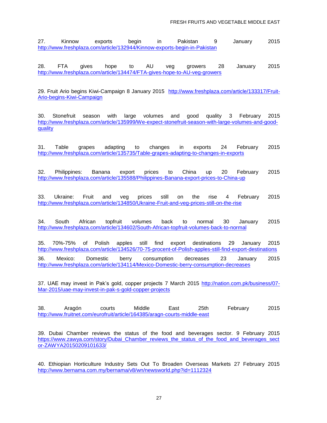27. Kinnow exports begin in Pakistan 9 January 2015 <http://www.freshplaza.com/article/132944/Kinnow-exports-begin-in-Pakistan>

28. FTA gives hope to AU veg growers 28 January 2015 <http://www.freshplaza.com/article/134474/FTA-gives-hope-to-AU-veg-growers>

29. Fruit Ario begins Kiwi-Campaign 8 January 2015 [http://www.freshplaza.com/article/133317/Fruit-](http://www.freshplaza.com/article/133317/Fruit-Ario-begins-Kiwi-Campaign)[Ario-begins-Kiwi-Campaign](http://www.freshplaza.com/article/133317/Fruit-Ario-begins-Kiwi-Campaign)

30. Stonefruit season with large volumes and good quality 3 February 2015 [http://www.freshplaza.com/article/135999/We-expect-stonefruit-season-with-large-volumes-and-good](http://www.freshplaza.com/article/135999/We-expect-stonefruit-season-with-large-volumes-and-good-quality)[quality](http://www.freshplaza.com/article/135999/We-expect-stonefruit-season-with-large-volumes-and-good-quality)

31. Table grapes adapting to changes in exports 24 February 2015 <http://www.freshplaza.com/article/135735/Table-grapes-adapting-to-changes-in-exports>

32. Philippines: Banana export prices to China up 20 February 2015 <http://www.freshplaza.com/article/135588/Philippines-Banana-export-prices-to-China-up>

33. Ukraine: Fruit and veg prices still on the rise 4 February 2015 <http://www.freshplaza.com/article/134850/Ukraine-Fruit-and-veg-prices-still-on-the-rise>

34. South African topfruit volumes back to normal 30 January 2015 <http://www.freshplaza.com/article/134602/South-African-topfruit-volumes-back-to-normal>

35. 70%-75% of Polish apples still find export destinations 29 January 2015 <http://www.freshplaza.com/article/134526/70-75-procent-of-Polish-apples-still-find-export-destinations>

36. Mexico: Domestic berry consumption decreases 23 January 2015 <http://www.freshplaza.com/article/134114/Mexico-Domestic-berry-consumption-decreases>

37. UAE may invest in Pak's gold, copper projects 7 March 2015 [http://nation.com.pk/business/07-](http://nation.com.pk/business/07-Mar-2015/uae-may-invest-in-pak-s-gold-copper-projects) [Mar-2015/uae-may-invest-in-pak-s-gold-copper-projects](http://nation.com.pk/business/07-Mar-2015/uae-may-invest-in-pak-s-gold-copper-projects)

38. Aragón courts Middle East 25th February 2015 <http://www.fruitnet.com/eurofruit/article/164385/aragn-courts-middle-east>

39. Dubai Chamber reviews the status of the food and beverages sector. 9 February 2015 [https://www.zawya.com/story/Dubai\\_Chamber\\_reviews\\_the\\_status\\_of\\_the\\_food\\_and\\_beverages\\_sect](https://www.zawya.com/story/Dubai_Chamber_reviews_the_status_of_the_food_and_beverages_sector-ZAWYA20150209101633/) [or-ZAWYA20150209101633/](https://www.zawya.com/story/Dubai_Chamber_reviews_the_status_of_the_food_and_beverages_sector-ZAWYA20150209101633/)

40. Ethiopian Horticulture Industry Sets Out To Broaden Overseas Markets 27 February 2015 <http://www.bernama.com.my/bernama/v8/wn/newsworld.php?id=1112324>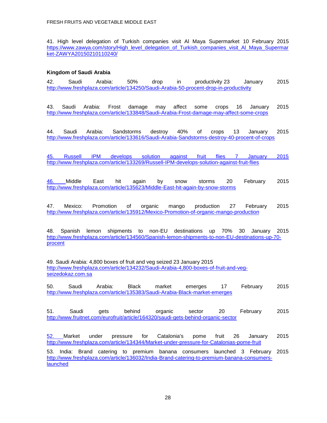41. High level delegation of Turkish companies visit Al Maya Supermarket 10 February 2015 [https://www.zawya.com/story/High\\_level\\_delegation\\_of\\_Turkish\\_companies\\_visit\\_Al\\_Maya\\_Supermar](https://www.zawya.com/story/High_level_delegation_of_Turkish_companies_visit_Al_Maya_Supermarket-ZAWYA20150210110240/) [ket-ZAWYA20150210110240/](https://www.zawya.com/story/High_level_delegation_of_Turkish_companies_visit_Al_Maya_Supermarket-ZAWYA20150210110240/)

### **Kingdom of Saudi Arabia**

42. Saudi Arabia: 50% drop in productivity 23 January 2015 <http://www.freshplaza.com/article/134250/Saudi-Arabia-50-procent-drop-in-productivity>

43. Saudi Arabia: Frost damage may affect some crops 16 January 2015 <http://www.freshplaza.com/article/133848/Saudi-Arabia-Frost-damage-may-affect-some-crops>

44. Saudi Arabia: Sandstorms destroy 40% of crops 13 January 2015 <http://www.freshplaza.com/article/133616/Saudi-Arabia-Sandstorms-destroy-40-procent-of-crops>

[45. Russell IPM develops solution against fruit flies 7 January 2015](45.%20Russell%20IPM%20develops%20solution%20against%20fruit%20flies%207%20January%202015%20%20%20%20http:/www.freshplaza.com/article/133269/Russell-IPM-develops-solution-against-fruit-flies)  [http://www.freshplaza.com/article/133269/Russell-IPM-develops-solution-against-fruit-flies](45.%20Russell%20IPM%20develops%20solution%20against%20fruit%20flies%207%20January%202015%20%20%20%20http:/www.freshplaza.com/article/133269/Russell-IPM-develops-solution-against-fruit-flies)

46. Middle East hit again by snow storms 20 February 2015 <http://www.freshplaza.com/article/135623/Middle-East-hit-again-by-snow-storms>

47. Mexico: Promotion of organic mango production 27 February 2015 <http://www.freshplaza.com/article/135912/Mexico-Promotion-of-organic-mango-production>

48. Spanish lemon shipments to non-EU destinations up 70% 30 January 2015 [http://www.freshplaza.com/article/134560/Spanish-lemon-shipments-to-non-EU-destinations-up-70](http://www.freshplaza.com/article/134560/Spanish-lemon-shipments-to-non-EU-destinations-up-70-procent) [procent](http://www.freshplaza.com/article/134560/Spanish-lemon-shipments-to-non-EU-destinations-up-70-procent)

49. Saudi Arabia: 4,800 boxes of fruit and veg seized 23 January 2015 [http://www.freshplaza.com/article/134232/Saudi-Arabia-4,800-boxes-of-fruit-and-veg](http://www.freshplaza.com/article/134232/Saudi-Arabia-4,800-boxes-of-fruit-and-veg-seizedokaz.com.sa)[seizedokaz.com.sa](http://www.freshplaza.com/article/134232/Saudi-Arabia-4,800-boxes-of-fruit-and-veg-seizedokaz.com.sa)

50. Saudi Arabia: Black market emerges 17 February 2015 <http://www.freshplaza.com/article/135383/Saudi-Arabia-Black-market-emerges>

51. Saudi gets behind organic sector 20 February 2015 <http://www.fruitnet.com/eurofruit/article/164320/saudi-gets-behind-organic-sector>

52. Market under pressure for Catalonia's pome fruit 26 January 2015 <http://www.freshplaza.com/article/134344/Market-under-pressure-for-Catalonias-pome-fruit>

53. India: Brand catering to premium banana consumers launched 3 February 2015 [http://www.freshplaza.com/article/136032/India-Brand-catering-to-premium-banana-consumers](http://www.freshplaza.com/article/136032/India-Brand-catering-to-premium-banana-consumers-launched)[launched](http://www.freshplaza.com/article/136032/India-Brand-catering-to-premium-banana-consumers-launched)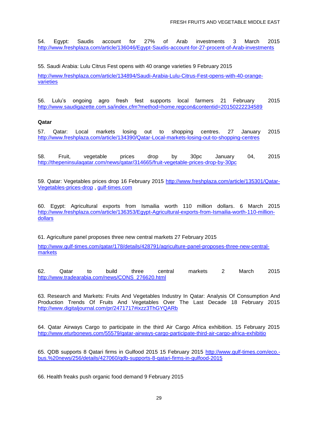54. Egypt: Saudis account for 27% of Arab investments 3 March 2015 <http://www.freshplaza.com/article/136046/Egypt-Saudis-account-for-27-procent-of-Arab-investments>

55. Saudi Arabia: Lulu Citrus Fest opens with 40 orange varieties 9 February 2015

[http://www.freshplaza.com/article/134894/Saudi-Arabia-Lulu-Citrus-Fest-opens-with-40-orange](http://www.freshplaza.com/article/134894/Saudi-Arabia-Lulu-Citrus-Fest-opens-with-40-orange-varieties)[varieties](http://www.freshplaza.com/article/134894/Saudi-Arabia-Lulu-Citrus-Fest-opens-with-40-orange-varieties)

56. Lulu's ongoing agro fresh fest supports local farmers 21 February 2015 <http://www.saudigazette.com.sa/index.cfm?method=home.regcon&contentid=20150222234589>

#### **Qatar**

57. Qatar: Local markets losing out to shopping centres. 27 January 2015 <http://www.freshplaza.com/article/134390/Qatar-Local-markets-losing-out-to-shopping-centres>

58. Fruit, vegetable prices drop by 30pc January 04, 2015 <http://thepeninsulaqatar.com/news/qatar/314665/fruit-vegetable-prices-drop-by-30pc>

59. Qatar: Vegetables prices drop 16 February 2015 [http://www.freshplaza.com/article/135301/Qatar-](http://www.freshplaza.com/article/135301/Qatar-Vegetables-prices-drop)[Vegetables-prices-drop](http://www.freshplaza.com/article/135301/Qatar-Vegetables-prices-drop) , [gulf-times.com](http://www.gulf-times.com/qatar/178/details/426892/vegetables-prices-drop)

60. Egypt: Agricultural exports from Ismailia worth 110 million dollars. 6 March 2015 [http://www.freshplaza.com/article/136353/Egypt-Agricultural-exports-from-Ismailia-worth-110-million](http://www.freshplaza.com/article/136353/Egypt-Agricultural-exports-from-Ismailia-worth-110-million-dollars)[dollars](http://www.freshplaza.com/article/136353/Egypt-Agricultural-exports-from-Ismailia-worth-110-million-dollars)

61. Agriculture panel proposes three new central markets 27 February 2015

[http://www.gulf-times.com/qatar/178/details/428791/agriculture-panel-proposes-three-new-central](http://www.gulf-times.com/qatar/178/details/428791/agriculture-panel-proposes-three-new-central-markets)[markets](http://www.gulf-times.com/qatar/178/details/428791/agriculture-panel-proposes-three-new-central-markets)

62. Qatar to build three central markets 2 March 2015 [http://www.tradearabia.com/news/CONS\\_276620.html](http://www.tradearabia.com/news/CONS_276620.html)

63. Research and Markets: Fruits And Vegetables Industry In Qatar: Analysis Of Consumption And Production Trends Of Fruits And Vegetables Over The Last Decade 18 February 2015 <http://www.digitaljournal.com/pr/2471717#ixzz3ThGYQARb>

64. Qatar Airways Cargo to participate in the third Air Cargo Africa exhibition. 15 February 2015 <http://www.eturbonews.com/55579/qatar-airways-cargo-participate-third-air-cargo-africa-exhibitio>

65. QDB supports 8 Qatari firms in Gulfood 2015 15 February 2015 [http://www.gulf-times.com/eco.](http://www.gulf-times.com/eco.-bus.%20news/256/details/427060/qdb-supports-8-qatari-firms-in-gulfood-2015) [bus.%20news/256/details/427060/qdb-supports-8-qatari-firms-in-gulfood-2015](http://www.gulf-times.com/eco.-bus.%20news/256/details/427060/qdb-supports-8-qatari-firms-in-gulfood-2015)

66. Health freaks push organic food demand 9 February 2015